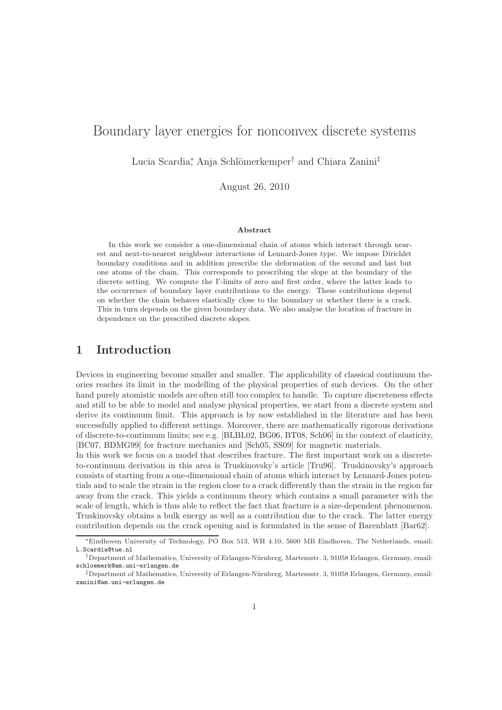# Boundary layer energies for nonconvex discrete systems

Lucia Scardia<sup>\*</sup>, Anja Schlömerkemper<sup>†</sup> and Chiara Zanini<sup>‡</sup>

August 26, 2010

#### Abstract

In this work we consider a one-dimensional chain of atoms which interact through nearest and next-to-nearest neighbour interactions of Lennard-Jones type. We impose Dirichlet boundary conditions and in addition prescribe the deformation of the second and last but one atoms of the chain. This corresponds to prescribing the slope at the boundary of the discrete setting. We compute the Γ-limits of zero and first order, where the latter leads to the occurrence of boundary layer contributions to the energy. These contributions depend on whether the chain behaves elastically close to the boundary or whether there is a crack. This in turn depends on the given boundary data. We also analyse the location of fracture in dependence on the prescribed discrete slopes.

### 1 Introduction

Devices in engineering become smaller and smaller. The applicability of classical continuum theories reaches its limit in the modelling of the physical properties of such devices. On the other hand purely atomistic models are often still too complex to handle. To capture discreteness effects and still to be able to model and analyse physical properties, we start from a discrete system and derive its continuum limit. This approach is by now established in the literature and has been successfully applied to different settings. Moreover, there are mathematically rigorous derivations of discrete-to-continuum limits; see e.g. [BLBL02, BG06, BT08, Sch06] in the context of elasticity, [BC07, BDMG99] for fracture mechanics and [Sch05, SS09] for magnetic materials.

In this work we focus on a model that describes fracture. The first important work on a discreteto-continuum derivation in this area is Truskinovsky's article [Tru96]. Truskinovsky's approach consists of starting from a one-dimensional chain of atoms which interact by Lennard-Jones potentials and to scale the strain in the region close to a crack differently than the strain in the region far away from the crack. This yields a continuum theory which contains a small parameter with the scale of length, which is thus able to reflect the fact that fracture is a size-dependent phenomenon. Truskinovsky obtains a bulk energy as well as a contribution due to the crack. The latter energy contribution depends on the crack opening and is formulated in the sense of Barenblatt [Bar62].

<sup>∗</sup>Eindhoven University of Technology, PO Box 513, WH 4.10, 5600 MB Eindhoven, The Netherlands, email: L.Scardia@tue.nl

<sup>†</sup>Department of Mathematics, University of Erlangen-N¨urnberg, Martensstr. 3, 91058 Erlangen, Germany, email: schloemerk@am.uni-erlangen.de

<sup>‡</sup>Department of Mathematics, University of Erlangen-N¨urnberg, Martensstr. 3, 91058 Erlangen, Germany, email: zanini@am.uni-erlangen.de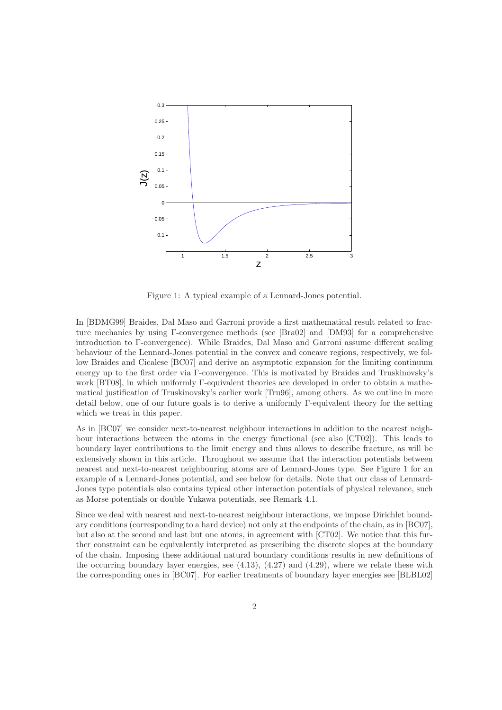

Figure 1: A typical example of a Lennard-Jones potential.

In [BDMG99] Braides, Dal Maso and Garroni provide a first mathematical result related to fracture mechanics by using Γ-convergence methods (see [Bra02] and [DM93] for a comprehensive introduction to Γ-convergence). While Braides, Dal Maso and Garroni assume different scaling behaviour of the Lennard-Jones potential in the convex and concave regions, respectively, we follow Braides and Cicalese [BC07] and derive an asymptotic expansion for the limiting continuum energy up to the first order via Γ-convergence. This is motivated by Braides and Truskinovsky's work [BT08], in which uniformly Γ-equivalent theories are developed in order to obtain a mathematical justification of Truskinovsky's earlier work [Tru96], among others. As we outline in more detail below, one of our future goals is to derive a uniformly Γ-equivalent theory for the setting which we treat in this paper.

As in [BC07] we consider next-to-nearest neighbour interactions in addition to the nearest neighbour interactions between the atoms in the energy functional (see also [CT02]). This leads to boundary layer contributions to the limit energy and thus allows to describe fracture, as will be extensively shown in this article. Throughout we assume that the interaction potentials between nearest and next-to-nearest neighbouring atoms are of Lennard-Jones type. See Figure 1 for an example of a Lennard-Jones potential, and see below for details. Note that our class of Lennard-Jones type potentials also contains typical other interaction potentials of physical relevance, such as Morse potentials or double Yukawa potentials, see Remark 4.1.

Since we deal with nearest and next-to-nearest neighbour interactions, we impose Dirichlet boundary conditions (corresponding to a hard device) not only at the endpoints of the chain, as in [BC07], but also at the second and last but one atoms, in agreement with [CT02]. We notice that this further constraint can be equivalently interpreted as prescribing the discrete slopes at the boundary of the chain. Imposing these additional natural boundary conditions results in new definitions of the occurring boundary layer energies, see (4.13), (4.27) and (4.29), where we relate these with the corresponding ones in [BC07]. For earlier treatments of boundary layer energies see [BLBL02]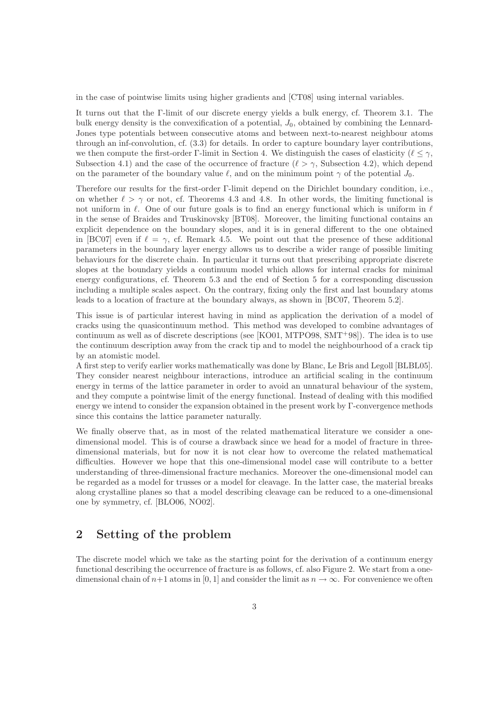in the case of pointwise limits using higher gradients and [CT08] using internal variables.

It turns out that the Γ-limit of our discrete energy yields a bulk energy, cf. Theorem 3.1. The bulk energy density is the convexification of a potential,  $J_0$ , obtained by combining the Lennard-Jones type potentials between consecutive atoms and between next-to-nearest neighbour atoms through an inf-convolution, cf. (3.3) for details. In order to capture boundary layer contributions, we then compute the first-order Γ-limit in Section 4. We distinguish the cases of elasticity ( $\ell < \gamma$ , Subsection 4.1) and the case of the occurrence of fracture  $(\ell > \gamma$ , Subsection 4.2), which depend on the parameter of the boundary value  $\ell$ , and on the minimum point  $\gamma$  of the potential  $J_0$ .

Therefore our results for the first-order Γ-limit depend on the Dirichlet boundary condition, i.e., on whether  $\ell > \gamma$  or not, cf. Theorems 4.3 and 4.8. In other words, the limiting functional is not uniform in  $\ell$ . One of our future goals is to find an energy functional which is uniform in  $\ell$ in the sense of Braides and Truskinovsky [BT08]. Moreover, the limiting functional contains an explicit dependence on the boundary slopes, and it is in general different to the one obtained in [BC07] even if  $\ell = \gamma$ , cf. Remark 4.5. We point out that the presence of these additional parameters in the boundary layer energy allows us to describe a wider range of possible limiting behaviours for the discrete chain. In particular it turns out that prescribing appropriate discrete slopes at the boundary yields a continuum model which allows for internal cracks for minimal energy configurations, cf. Theorem 5.3 and the end of Section 5 for a corresponding discussion including a multiple scales aspect. On the contrary, fixing only the first and last boundary atoms leads to a location of fracture at the boundary always, as shown in [BC07, Theorem 5.2].

This issue is of particular interest having in mind as application the derivation of a model of cracks using the quasicontinuum method. This method was developed to combine advantages of continuum as well as of discrete descriptions (see [KO01, MTPO98, SMT<sup>+</sup>98]). The idea is to use the continuum description away from the crack tip and to model the neighbourhood of a crack tip by an atomistic model.

A first step to verify earlier works mathematically was done by Blanc, Le Bris and Legoll [BLBL05]. They consider nearest neighbour interactions, introduce an artificial scaling in the continuum energy in terms of the lattice parameter in order to avoid an unnatural behaviour of the system, and they compute a pointwise limit of the energy functional. Instead of dealing with this modified energy we intend to consider the expansion obtained in the present work by  $\Gamma$ -convergence methods since this contains the lattice parameter naturally.

We finally observe that, as in most of the related mathematical literature we consider a onedimensional model. This is of course a drawback since we head for a model of fracture in threedimensional materials, but for now it is not clear how to overcome the related mathematical difficulties. However we hope that this one-dimensional model case will contribute to a better understanding of three-dimensional fracture mechanics. Moreover the one-dimensional model can be regarded as a model for trusses or a model for cleavage. In the latter case, the material breaks along crystalline planes so that a model describing cleavage can be reduced to a one-dimensional one by symmetry, cf. [BLO06, NO02].

## 2 Setting of the problem

The discrete model which we take as the starting point for the derivation of a continuum energy functional describing the occurrence of fracture is as follows, cf. also Figure 2. We start from a onedimensional chain of  $n+1$  atoms in [0, 1] and consider the limit as  $n \to \infty$ . For convenience we often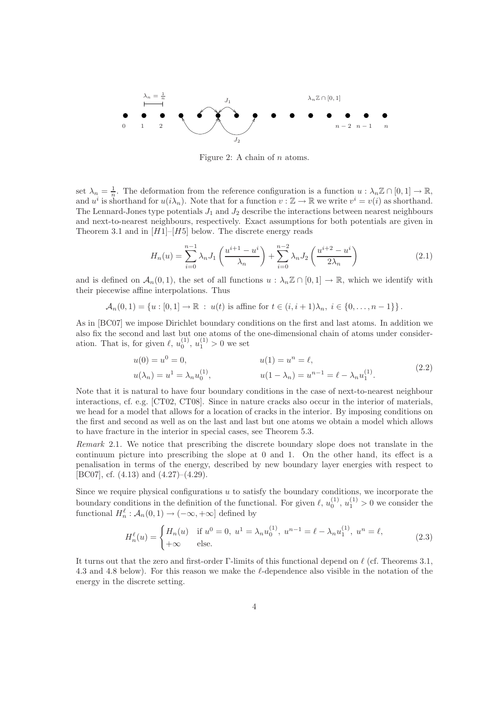

Figure 2: A chain of  $n$  atoms.

set  $\lambda_n = \frac{1}{n}$ . The deformation from the reference configuration is a function  $u : \lambda_n \mathbb{Z} \cap [0,1] \to \mathbb{R}$ , and  $u^i$  is shorthand for  $u(i\lambda_n)$ . Note that for a function  $v : \mathbb{Z} \to \mathbb{R}$  we write  $v^i = v(i)$  as shorthand. The Lennard-Jones type potentials  $J_1$  and  $J_2$  describe the interactions between nearest neighbours and next-to-nearest neighbours, respectively. Exact assumptions for both potentials are given in Theorem 3.1 and in  $[H1]-[H5]$  below. The discrete energy reads

$$
H_n(u) = \sum_{i=0}^{n-1} \lambda_n J_1\left(\frac{u^{i+1} - u^i}{\lambda_n}\right) + \sum_{i=0}^{n-2} \lambda_n J_2\left(\frac{u^{i+2} - u^i}{2\lambda_n}\right)
$$
(2.1)

and is defined on  $\mathcal{A}_n(0,1)$ , the set of all functions  $u : \lambda_n \mathbb{Z} \cap [0,1] \to \mathbb{R}$ , which we identify with their piecewise affine interpolations. Thus

$$
\mathcal{A}_n(0,1) = \{u : [0,1] \to \mathbb{R} : u(t) \text{ is affine for } t \in (i,i+1)\lambda_n, i \in \{0,\ldots,n-1\}\}.
$$

As in [BC07] we impose Dirichlet boundary conditions on the first and last atoms. In addition we also fix the second and last but one atoms of the one-dimensional chain of atoms under consideration. That is, for given  $\ell$ ,  $u_0^{(1)}$ ,  $u_1^{(1)} > 0$  we set

$$
u(0) = u0 = 0, \t u(1) = un = \ell, u(\lambda_n) = u1 = \lambda_n u_0^{(1)}, \t u(1 - \lambda_n) = u^{n-1} = \ell - \lambda_n u_1^{(1)}.
$$
 (2.2)

Note that it is natural to have four boundary conditions in the case of next-to-nearest neighbour interactions, cf. e.g. [CT02, CT08]. Since in nature cracks also occur in the interior of materials, we head for a model that allows for a location of cracks in the interior. By imposing conditions on the first and second as well as on the last and last but one atoms we obtain a model which allows to have fracture in the interior in special cases, see Theorem 5.3.

Remark 2.1. We notice that prescribing the discrete boundary slope does not translate in the continuum picture into prescribing the slope at 0 and 1. On the other hand, its effect is a penalisation in terms of the energy, described by new boundary layer energies with respect to [BC07], cf. (4.13) and (4.27)–(4.29).

Since we require physical configurations  $u$  to satisfy the boundary conditions, we incorporate the boundary conditions in the definition of the functional. For given  $\ell$ ,  $u_0^{(1)}$ ,  $u_1^{(1)} > 0$  we consider the functional  $H_n^{\ell} : \mathcal{A}_n(0,1) \to (-\infty, +\infty]$  defined by

$$
H_n^{\ell}(u) = \begin{cases} H_n(u) & \text{if } u^0 = 0, \ u^1 = \lambda_n u_0^{(1)}, \ u^{n-1} = \ell - \lambda_n u_1^{(1)}, \ u^n = \ell, \\ +\infty & \text{else.} \end{cases}
$$
(2.3)

It turns out that the zero and first-order Γ-limits of this functional depend on  $\ell$  (cf. Theorems 3.1, 4.3 and 4.8 below). For this reason we make the ℓ-dependence also visible in the notation of the energy in the discrete setting.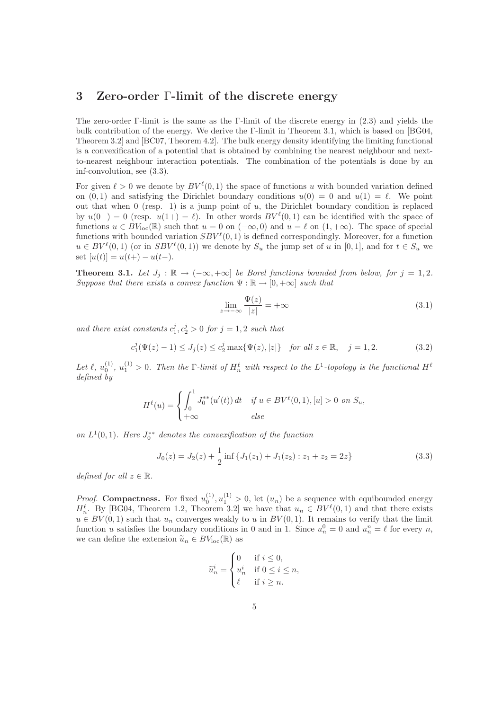#### 3 Zero-order Γ-limit of the discrete energy

The zero-order Γ-limit is the same as the Γ-limit of the discrete energy in (2.3) and yields the bulk contribution of the energy. We derive the Γ-limit in Theorem 3.1, which is based on [BG04, Theorem 3.2] and [BC07, Theorem 4.2]. The bulk energy density identifying the limiting functional is a convexification of a potential that is obtained by combining the nearest neighbour and nextto-nearest neighbour interaction potentials. The combination of the potentials is done by an inf-convolution, see (3.3).

For given  $\ell > 0$  we denote by  $BV^{\ell}(0,1)$  the space of functions u with bounded variation defined on  $(0, 1)$  and satisfying the Dirichlet boundary conditions  $u(0) = 0$  and  $u(1) = \ell$ . We point out that when  $0$  (resp. 1) is a jump point of  $u$ , the Dirichlet boundary condition is replaced by  $u(0-) = 0$  (resp.  $u(1+) = \ell$ ). In other words  $BV^{\ell}(0,1)$  can be identified with the space of functions  $u \in BV_{loc}(\mathbb{R})$  such that  $u = 0$  on  $(-\infty, 0)$  and  $u = \ell$  on  $(1, +\infty)$ . The space of special functions with bounded variation  $SBV^{\ell}(0, 1)$  is defined correspondingly. Moreover, for a function  $u \in BV^{\ell}(0,1)$  (or in  $SBV^{\ell}(0,1)$ ) we denote by  $S_u$  the jump set of u in [0,1], and for  $t \in S_u$  we set  $[u(t)] = u(t+) - u(t-)$ .

**Theorem 3.1.** Let  $J_j$  :  $\mathbb{R} \to (-\infty, +\infty]$  be Borel functions bounded from below, for  $j = 1, 2$ . Suppose that there exists a convex function  $\Psi : \mathbb{R} \to [0, +\infty]$  such that

$$
\lim_{z \to -\infty} \frac{\Psi(z)}{|z|} = +\infty \tag{3.1}
$$

and there exist constants  $c_1^j, c_2^j > 0$  for  $j = 1, 2$  such that

$$
c_1^j(\Psi(z) - 1) \le J_j(z) \le c_2^j \max\{\Psi(z), |z|\} \quad \text{for all } z \in \mathbb{R}, \quad j = 1, 2. \tag{3.2}
$$

Let  $\ell, u_0^{(1)}, u_1^{(1)} > 0$ . Then the  $\Gamma$ -limit of  $H_n^{\ell}$  with respect to the  $L^1$ -topology is the functional  $H^{\ell}$ defined by

$$
H^{\ell}(u) = \begin{cases} \int_0^1 J_0^{**}(u'(t)) dt & \text{if } u \in BV^{\ell}(0,1), [u] > 0 \text{ on } S_u, \\ +\infty & \text{else} \end{cases}
$$

on  $L^1(0,1)$ . Here  $J_0^{**}$  denotes the convexification of the function

$$
J_0(z) = J_2(z) + \frac{1}{2} \inf \{ J_1(z_1) + J_1(z_2) : z_1 + z_2 = 2z \}
$$
 (3.3)

defined for all  $z \in \mathbb{R}$ .

*Proof.* Compactness. For fixed  $u_0^{(1)}$ ,  $u_1^{(1)} > 0$ , let  $(u_n)$  be a sequence with equibounded energy  $H_n^{\ell}$ . By [BG04, Theorem 1.2, Theorem 3.2] we have that  $u_n \in BV^{\ell}(0,1)$  and that there exists  $u \in BV(0,1)$  such that  $u_n$  converges weakly to u in  $BV(0,1)$ . It remains to verify that the limit function u satisfies the boundary conditions in 0 and in 1. Since  $u_n^0 = 0$  and  $u_n^n = \ell$  for every n, we can define the extension  $\tilde{u}_n \in BV_{loc}(\mathbb{R})$  as

$$
\widetilde{u}_n^i = \begin{cases} 0 & \text{if } i \leq 0, \\ u_n^i & \text{if } 0 \leq i \leq n, \\ \ell & \text{if } i \geq n. \end{cases}
$$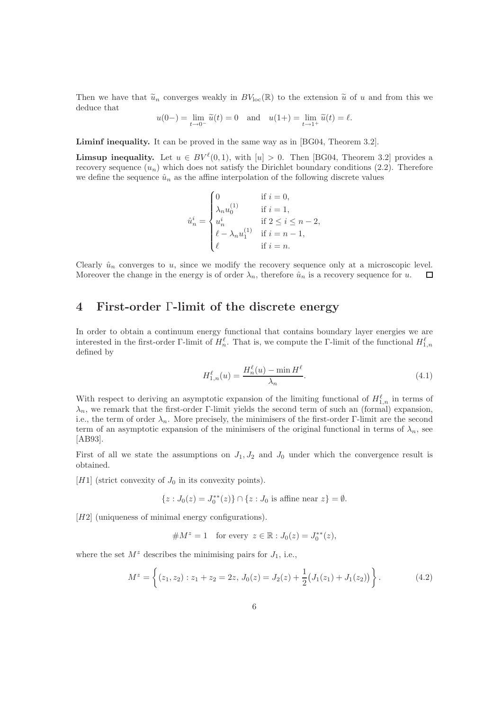Then we have that  $\tilde{u}_n$  converges weakly in  $BV_{loc}(\mathbb{R})$  to the extension  $\tilde{u}$  of u and from this we deduce that

$$
u(0-)
$$
 =  $\lim_{t \to 0^-} \tilde{u}(t) = 0$  and  $u(1+) = \lim_{t \to 1^+} \tilde{u}(t) = \ell$ .

Liminf inequality. It can be proved in the same way as in [BG04, Theorem 3.2].

**Limsup inequality.** Let  $u \in BV^{\ell}(0,1)$ , with  $[u] > 0$ . Then [BG04, Theorem 3.2] provides a recovery sequence  $(u_n)$  which does not satisfy the Dirichlet boundary conditions (2.2). Therefore we define the sequence  $\hat{u}_n$  as the affine interpolation of the following discrete values

$$
\hat{u}_n^i = \begin{cases} 0 & \text{if } i = 0,\\ \lambda_n u_0^{(1)} & \text{if } i = 1,\\ u_n^i & \text{if } 2 \leq i \leq n-2,\\ \ell - \lambda_n u_1^{(1)} & \text{if } i = n-1,\\ \ell & \text{if } i = n. \end{cases}
$$

Clearly  $\hat{u}_n$  converges to u, since we modify the recovery sequence only at a microscopic level. Moreover the change in the energy is of order  $\lambda_n$ , therefore  $\hat{u}_n$  is a recovery sequence for u.  $\Box$ 

### 4 First-order Γ-limit of the discrete energy

In order to obtain a continuum energy functional that contains boundary layer energies we are interested in the first-order Γ-limit of  $H_n^{\ell}$ . That is, we compute the Γ-limit of the functional  $H_{1,n}^{\ell}$ defined by

$$
H_{1,n}^{\ell}(u) = \frac{H_n^{\ell}(u) - \min H^{\ell}}{\lambda_n}.
$$
\n(4.1)

With respect to deriving an asymptotic expansion of the limiting functional of  $H_{1,n}^{\ell}$  in terms of  $\lambda_n$ , we remark that the first-order Γ-limit yields the second term of such an (formal) expansion, i.e., the term of order  $\lambda_n$ . More precisely, the minimisers of the first-order Γ-limit are the second term of an asymptotic expansion of the minimisers of the original functional in terms of  $\lambda_n$ , see [AB93].

First of all we state the assumptions on  $J_1, J_2$  and  $J_0$  under which the convergence result is obtained.

[H1] (strict convexity of  $J_0$  in its convexity points).

$$
\{z:J_0(z)=J_0^{**}(z)\}\cap\{z:J_0\text{ is affine near }z\}=\emptyset.
$$

[H2] (uniqueness of minimal energy configurations).

#M<sup>z</sup> = 1 for every <sup>z</sup> <sup>∈</sup> <sup>R</sup> : <sup>J</sup>0(z) = <sup>J</sup> ∗∗ 0 (z),

where the set  $M^z$  describes the minimising pairs for  $J_1$ , i.e.,

$$
M^{z} = \left\{ (z_{1}, z_{2}) : z_{1} + z_{2} = 2z, J_{0}(z) = J_{2}(z) + \frac{1}{2} (J_{1}(z_{1}) + J_{1}(z_{2})) \right\}.
$$
 (4.2)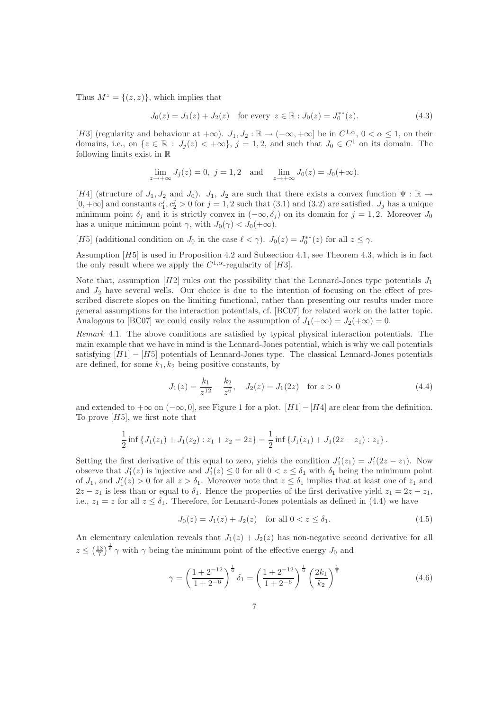Thus  $M^z = \{(z, z)\}\,$ , which implies that

$$
J_0(z) = J_1(z) + J_2(z) \quad \text{for every } z \in \mathbb{R} : J_0(z) = J_0^{**}(z). \tag{4.3}
$$

[H3] (regularity and behaviour at  $+\infty$ ).  $J_1, J_2 : \mathbb{R} \to (-\infty, +\infty]$  be in  $C^{1,\alpha}, 0 < \alpha \leq 1$ , on their domains, i.e., on  $\{z \in \mathbb{R} : J_j(z) < +\infty\}, \, j = 1, 2$ , and such that  $J_0 \in C^1$  on its domain. The following limits exist in R

$$
\lim_{z \to +\infty} J_j(z) = 0, \ j = 1, 2 \text{ and } \lim_{z \to +\infty} J_0(z) = J_0(+\infty).
$$

[H4] (structure of  $J_1, J_2$  and  $J_0$ ).  $J_1, J_2$  are such that there exists a convex function  $\Psi : \mathbb{R} \to$  $[0, +\infty]$  and constants  $c_1^j, c_2^j > 0$  for  $j = 1, 2$  such that  $(3.1)$  and  $(3.2)$  are satisfied.  $J_j$  has a unique minimum point  $\delta_j$  and it is strictly convex in  $(-\infty, \delta_j)$  on its domain for  $j = 1, 2$ . Moreover  $J_0$ has a unique minimum point  $\gamma$ , with  $J_0(\gamma) < J_0(+\infty)$ .

[H5] (additional condition on  $J_0$  in the case  $\ell < \gamma$ ).  $J_0(z) = J_0^{**}(z)$  for all  $z \leq \gamma$ .

Assumption [H5] is used in Proposition 4.2 and Subsection 4.1, see Theorem 4.3, which is in fact the only result where we apply the  $C^{1,\alpha}$ -regularity of [H3].

Note that, assumption  $[H2]$  rules out the possibility that the Lennard-Jones type potentials  $J_1$ and  $J_2$  have several wells. Our choice is due to the intention of focusing on the effect of prescribed discrete slopes on the limiting functional, rather than presenting our results under more general assumptions for the interaction potentials, cf. [BC07] for related work on the latter topic. Analogous to [BC07] we could easily relax the assumption of  $J_1(+\infty) = J_2(+\infty) = 0$ .

Remark 4.1. The above conditions are satisfied by typical physical interaction potentials. The main example that we have in mind is the Lennard-Jones potential, which is why we call potentials satisfying  $[H1] - [H5]$  potentials of Lennard-Jones type. The classical Lennard-Jones potentials are defined, for some  $k_1, k_2$  being positive constants, by

$$
J_1(z) = \frac{k_1}{z^{12}} - \frac{k_2}{z^6}, \quad J_2(z) = J_1(2z) \quad \text{for } z > 0
$$
 (4.4)

and extended to  $+\infty$  on  $(-\infty, 0]$ , see Figure 1 for a plot. [H1]–[H4] are clear from the definition. To prove  $[H5]$ , we first note that

$$
\frac{1}{2}\inf\left\{J_1(z_1)+J_1(z_2):z_1+z_2=2z\right\}=\frac{1}{2}\inf\left\{J_1(z_1)+J_1(2z-z_1):z_1\right\}.
$$

Setting the first derivative of this equal to zero, yields the condition  $J'_1(z_1) = J'_1(2z - z_1)$ . Now observe that  $J'_1(z)$  is injective and  $J'_1(z) \leq 0$  for all  $0 < z \leq \delta_1$  with  $\delta_1$  being the minimum point of  $J_1$ , and  $J'_1(z) > 0$  for all  $z > \delta_1$ . Moreover note that  $z \leq \delta_1$  implies that at least one of  $z_1$  and  $2z - z_1$  is less than or equal to  $\delta_1$ . Hence the properties of the first derivative yield  $z_1 = 2z - z_1$ , i.e.,  $z_1 = z$  for all  $z \leq \delta_1$ . Therefore, for Lennard-Jones potentials as defined in (4.4) we have

$$
J_0(z) = J_1(z) + J_2(z) \quad \text{for all } 0 < z \le \delta_1. \tag{4.5}
$$

An elementary calculation reveals that  $J_1(z) + J_2(z)$  has non-negative second derivative for all  $z \leq (\frac{13}{7})^{\frac{1}{6}} \gamma$  with  $\gamma$  being the minimum point of the effective energy  $J_0$  and

$$
\gamma = \left(\frac{1+2^{-12}}{1+2^{-6}}\right)^{\frac{1}{6}} \delta_1 = \left(\frac{1+2^{-12}}{1+2^{-6}}\right)^{\frac{1}{6}} \left(\frac{2k_1}{k_2}\right)^{\frac{1}{6}} \tag{4.6}
$$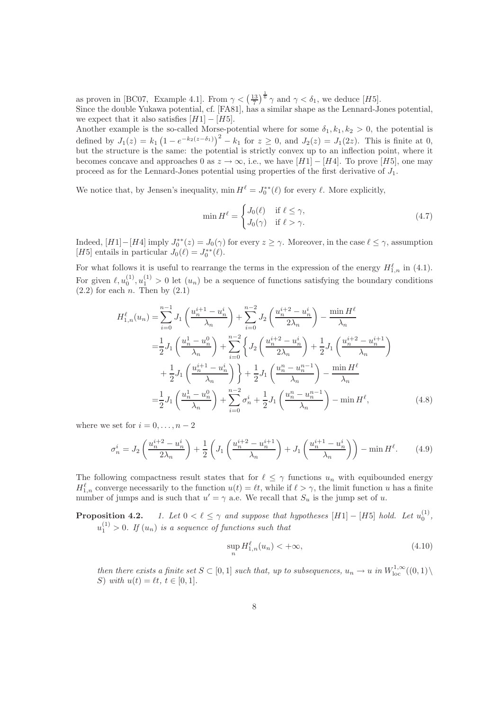as proven in [BC07, Example 4.1]. From  $\gamma < (\frac{13}{7})^{\frac{1}{6}} \gamma$  and  $\gamma < \delta_1$ , we deduce [H5].

Since the double Yukawa potential, cf. [FA81], has a similar shape as the Lennard-Jones potential, we expect that it also satisfies  $[H1] - [H5]$ .

Another example is the so-called Morse-potential where for some  $\delta_1, k_1, k_2 > 0$ , the potential is defined by  $J_1(z) = k_1 (1 - e^{-k_2(z-\delta_1)})^2 - k_1$  for  $z \ge 0$ , and  $J_2(z) = J_1(2z)$ . This is finite at 0, but the structure is the same: the potential is strictly convex up to an inflection point, where it becomes concave and approaches 0 as  $z \to \infty$ , i.e., we have [H1] – [H4]. To prove [H5], one may proceed as for the Lennard-Jones potential using properties of the first derivative of  $J_1$ .

We notice that, by Jensen's inequality,  $\min H^{\ell} = J_0^{**}(\ell)$  for every  $\ell$ . More explicitly,

$$
\min H^{\ell} = \begin{cases} J_0(\ell) & \text{if } \ell \le \gamma, \\ J_0(\gamma) & \text{if } \ell > \gamma. \end{cases}
$$
 (4.7)

Indeed,  $[H1]-[H4]$  imply  $J_0^{**}(z) = J_0(\gamma)$  for every  $z \geq \gamma$ . Moreover, in the case  $\ell \leq \gamma$ , assumption [H5] entails in particular  $J_0(\ell) = J_0^{**}(\ell)$ .

For what follows it is useful to rearrange the terms in the expression of the energy  $H_{1,n}^{\ell}$  in (4.1). For given  $\ell, u_0^{(1)}, u_1^{(1)} > 0$  let  $(u_n)$  be a sequence of functions satisfying the boundary conditions  $(2.2)$  for each *n*. Then by  $(2.1)$ 

$$
H_{1,n}^{\ell}(u_n) = \sum_{i=0}^{n-1} J_1 \left( \frac{u_n^{i+1} - u_n^i}{\lambda_n} \right) + \sum_{i=0}^{n-2} J_2 \left( \frac{u_n^{i+2} - u_n^i}{2\lambda_n} \right) - \frac{\min H^{\ell}}{\lambda_n}
$$
  

$$
= \frac{1}{2} J_1 \left( \frac{u_n^1 - u_n^0}{\lambda_n} \right) + \sum_{i=0}^{n-2} \left\{ J_2 \left( \frac{u_n^{i+2} - u_n^i}{2\lambda_n} \right) + \frac{1}{2} J_1 \left( \frac{u_n^{i+2} - u_n^{i+1}}{\lambda_n} \right) + \frac{1}{2} J_1 \left( \frac{u_n^{i+1} - u_n^i}{\lambda_n} \right) \right\} + \frac{1}{2} J_1 \left( \frac{u_n^n - u_n^{n-1}}{\lambda_n} \right) - \frac{\min H^{\ell}}{\lambda_n}
$$
  

$$
= \frac{1}{2} J_1 \left( \frac{u_n^1 - u_n^0}{\lambda_n} \right) + \sum_{i=0}^{n-2} \sigma_n^i + \frac{1}{2} J_1 \left( \frac{u_n^n - u_n^{n-1}}{\lambda_n} \right) - \min H^{\ell}, \tag{4.8}
$$

where we set for  $i = 0, \ldots, n - 2$ 

$$
\sigma_n^i = J_2 \left( \frac{u_n^{i+2} - u_n^i}{2\lambda_n} \right) + \frac{1}{2} \left( J_1 \left( \frac{u_n^{i+2} - u_n^{i+1}}{\lambda_n} \right) + J_1 \left( \frac{u_n^{i+1} - u_n^i}{\lambda_n} \right) \right) - \min H^\ell. \tag{4.9}
$$

The following compactness result states that for  $\ell \leq \gamma$  functions  $u_n$  with equibounded energy  $H_{1,n}^{\ell}$  converge necessarily to the function  $u(t) = \ell t$ , while if  $\ell > \gamma$ , the limit function u has a finite number of jumps and is such that  $u' = \gamma$  a.e. We recall that  $S_u$  is the jump set of u.

**Proposition 4.2.** 1. Let  $0 < \ell \leq \gamma$  and suppose that hypotheses  $[H1] - [H5]$  hold. Let  $u_0^{(1)}$ ,  $u_1^{(1)} > 0$ . If  $(u_n)$  is a sequence of functions such that

$$
\sup_{n} H_{1,n}^{\ell}(u_n) < +\infty,\tag{4.10}
$$

then there exists a finite set  $S \subset [0,1]$  such that, up to subsequences,  $u_n \to u$  in  $W^{1,\infty}_{loc}((0,1)\setminus$ S) with  $u(t) = \ell t, t \in [0, 1].$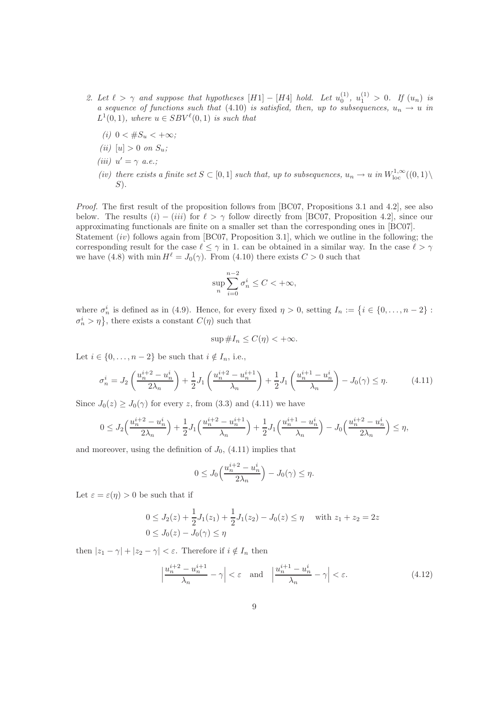- 2. Let  $\ell > \gamma$  and suppose that hypotheses  $[H1] [H4]$  hold. Let  $u_0^{(1)}$ ,  $u_1^{(1)} > 0$ . If  $(u_n)$  is a sequence of functions such that (4.10) is satisfied, then, up to subsequences,  $u_n \to u$  in  $L^1(0,1)$ , where  $u \in SBV^{\ell}(0,1)$  is such that
	- (i)  $0 < #S_u < +\infty$ ;
	- (*ii*)  $[u] > 0$  on  $S_u$ ;
	- (iii)  $u' = \gamma$  a.e.;
	- (iv) there exists a finite set  $S \subset [0,1]$  such that, up to subsequences,  $u_n \to u$  in  $W^{1,\infty}_{loc}((0,1)\setminus$  $S$ ).

Proof. The first result of the proposition follows from [BC07, Propositions 3.1 and 4.2], see also below. The results  $(i) - (iii)$  for  $\ell > \gamma$  follow directly from [BC07, Proposition 4.2], since our approximating functionals are finite on a smaller set than the corresponding ones in [BC07]. Statement *(iv)* follows again from [BC07, Proposition 3.1], which we outline in the following; the

corresponding result for the case  $\ell \leq \gamma$  in 1. can be obtained in a similar way. In the case  $\ell > \gamma$ we have  $(4.8)$  with min  $H^{\ell} = J_0(\gamma)$ . From  $(4.10)$  there exists  $C > 0$  such that

$$
\sup_{n}\sum_{i=0}^{n-2}\sigma_n^i\leq C<+\infty,
$$

where  $\sigma_n^i$  is defined as in (4.9). Hence, for every fixed  $\eta > 0$ , setting  $I_n := \{i \in \{0, ..., n-2\} :$  $\{\sigma_n^i > \eta\}$ , there exists a constant  $C(\eta)$  such that

$$
\sup \#I_n \le C(\eta) < +\infty.
$$

Let  $i \in \{0, \ldots, n-2\}$  be such that  $i \notin I_n$ , i.e.,

$$
\sigma_n^i = J_2 \left( \frac{u_n^{i+2} - u_n^i}{2\lambda_n} \right) + \frac{1}{2} J_1 \left( \frac{u_n^{i+2} - u_n^{i+1}}{\lambda_n} \right) + \frac{1}{2} J_1 \left( \frac{u_n^{i+1} - u_n^i}{\lambda_n} \right) - J_0(\gamma) \le \eta. \tag{4.11}
$$

Since  $J_0(z) \geq J_0(\gamma)$  for every z, from (3.3) and (4.11) we have

$$
0 \le J_2\left(\frac{u_n^{i+2} - u_n^i}{2\lambda_n}\right) + \frac{1}{2}J_1\left(\frac{u_n^{i+2} - u_n^{i+1}}{\lambda_n}\right) + \frac{1}{2}J_1\left(\frac{u_n^{i+1} - u_n^i}{\lambda_n}\right) - J_0\left(\frac{u_n^{i+2} - u_n^i}{2\lambda_n}\right) \le \eta,
$$

and moreover, using the definition of  $J_0$ , (4.11) implies that

$$
0 \le J_0\left(\frac{u_n^{i+2} - u_n^i}{2\lambda_n}\right) - J_0(\gamma) \le \eta.
$$

Let  $\varepsilon = \varepsilon(\eta) > 0$  be such that if

$$
0 \le J_2(z) + \frac{1}{2}J_1(z_1) + \frac{1}{2}J_1(z_2) - J_0(z) \le \eta \quad \text{with } z_1 + z_2 = 2z
$$
  
 
$$
0 \le J_0(z) - J_0(\gamma) \le \eta
$$

then  $|z_1 - \gamma| + |z_2 - \gamma| < \varepsilon$ . Therefore if  $i \notin I_n$  then

$$
\left|\frac{u_n^{i+2} - u_n^{i+1}}{\lambda_n} - \gamma\right| < \varepsilon \quad \text{and} \quad \left|\frac{u_n^{i+1} - u_n^i}{\lambda_n} - \gamma\right| < \varepsilon. \tag{4.12}
$$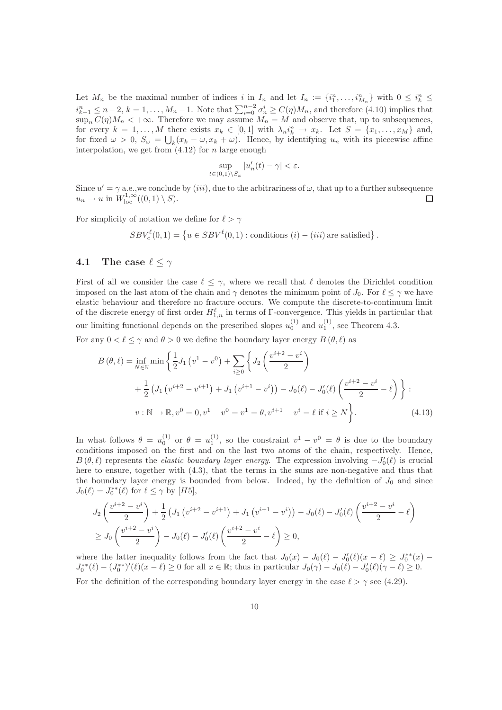Let  $M_n$  be the maximal number of indices i in  $I_n$  and let  $I_n := \{i_1^n, \ldots, i_{M_n}^n\}$  with  $0 \leq i_k^n \leq$  $i_{k+1}^n \leq n-2$ ,  $k=1,\ldots,M_n-1$ . Note that  $\sum_{i=0}^{n-2} \sigma_n^i \geq C(\eta)M_n$ , and therefore (4.10) implies that  $\sup_n C(\eta)M_n < +\infty$ . Therefore we may assume  $M_n = M$  and observe that, up to subsequences, for every  $k = 1, ..., M$  there exists  $x_k \in [0,1]$  with  $\lambda_n i_k^n \to x_k$ . Let  $S = \{x_1, ..., x_M\}$  and, for fixed  $\omega > 0$ ,  $S_{\omega} = \bigcup_{k}(x_k - \omega, x_k + \omega)$ . Hence, by identifying  $u_n$  with its piecewise affine interpolation, we get from  $(4.12)$  for n large enough

$$
\sup_{t\in(0,1)\backslash S_{\omega}}|u_n'(t)-\gamma|<\varepsilon.
$$

Since  $u' = \gamma$  a.e., we conclude by (*iii*), due to the arbitrariness of  $\omega$ , that up to a further subsequence  $u_n \to u$  in  $W^{1,\infty}_{\text{loc}}((0,1) \setminus S)$ .  $\Box$ 

For simplicity of notation we define for  $\ell > \gamma$ 

$$
SBV_c^{\ell}(0,1) = \left\{ u \in SBV^{\ell}(0,1) : \text{conditions } (i) - (iii) \text{ are satisfied} \right\}.
$$

#### 4.1 The case  $\ell \leq \gamma$

First of all we consider the case  $\ell \leq \gamma$ , where we recall that  $\ell$  denotes the Dirichlet condition imposed on the last atom of the chain and  $\gamma$  denotes the minimum point of  $J_0$ . For  $\ell \leq \gamma$  we have elastic behaviour and therefore no fracture occurs. We compute the discrete-to-continuum limit of the discrete energy of first order  $H_{1,n}^{\ell}$  in terms of  $\Gamma$ -convergence. This yields in particular that our limiting functional depends on the prescribed slopes  $u_0^{(1)}$  and  $u_1^{(1)}$ , see Theorem 4.3.

For any  $0 < \ell \leq \gamma$  and  $\theta > 0$  we define the boundary layer energy  $B(\theta, \ell)$  as

$$
B(\theta, \ell) = \inf_{N \in \mathbb{N}} \min \left\{ \frac{1}{2} J_1 \left( v^1 - v^0 \right) + \sum_{i \ge 0} \left\{ J_2 \left( \frac{v^{i+2} - v^i}{2} \right) \right\} + \frac{1}{2} \left( J_1 \left( v^{i+2} - v^{i+1} \right) + J_1 \left( v^{i+1} - v^i \right) \right) - J_0(\ell) - J_0'(\ell) \left( \frac{v^{i+2} - v^i}{2} - \ell \right) \right\} v : \mathbb{N} \to \mathbb{R}, v^0 = 0, v^1 - v^0 = v^1 = \theta, v^{i+1} - v^i = \ell \text{ if } i \ge N \right\}.
$$
\n(4.13)

In what follows  $\theta = u_0^{(1)}$  or  $\theta = u_1^{(1)}$ , so the constraint  $v^1 - v^0 = \theta$  is due to the boundary conditions imposed on the first and on the last two atoms of the chain, respectively. Hence,  $B(\theta, \ell)$  represents the *elastic boundary layer energy*. The expression involving  $-J'_0(\ell)$  is crucial here to ensure, together with (4.3), that the terms in the sums are non-negative and thus that the boundary layer energy is bounded from below. Indeed, by the definition of  $J_0$  and since  $J_0(\ell) = J_0^{**}(\ell)$  for  $\ell \leq \gamma$  by [H5],

$$
J_2\left(\frac{v^{i+2} - v^i}{2}\right) + \frac{1}{2} \left(J_1\left(v^{i+2} - v^{i+1}\right) + J_1\left(v^{i+1} - v^i\right)\right) - J_0(\ell) - J_0'(\ell) \left(\frac{v^{i+2} - v^i}{2} - \ell\right)
$$
  
\n
$$
\geq J_0\left(\frac{v^{i+2} - v^i}{2}\right) - J_0(\ell) - J_0'(\ell) \left(\frac{v^{i+2} - v^i}{2} - \ell\right) \geq 0,
$$

where the latter inequality follows from the fact that  $J_0(x) - J_0(\ell) - J'_0(\ell)(x - \ell) \geq J_0^{**}(x) J_0^{**}(\ell) - (J_0^{**})'(\ell)(x - \ell) \ge 0$  for all  $x \in \mathbb{R}$ ; thus in particular  $J_0(\gamma) - J_0(\ell) - J_0'(\ell)(\gamma - \ell) \ge 0$ .

For the definition of the corresponding boundary layer energy in the case  $\ell > \gamma$  see (4.29).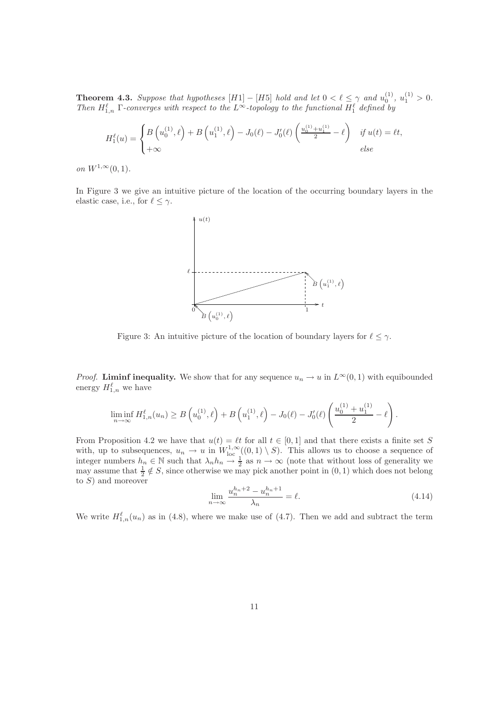**Theorem 4.3.** Suppose that hypotheses  $[H1] - [H5]$  hold and let  $0 < \ell \leq \gamma$  and  $u_0^{(1)}$ ,  $u_1^{(1)} > 0$ . Then  $H_{1,n}^{\ell}$   $\Gamma$ -converges with respect to the L<sup>∞</sup>-topology to the functional  $H_1^{\ell}$  defined by

$$
H_1^{\ell}(u) = \begin{cases} B\left(u_0^{(1)}, \ell\right) + B\left(u_1^{(1)}, \ell\right) - J_0(\ell) - J_0'(\ell) \left(\frac{u_0^{(1)} + u_1^{(1)}}{2} - \ell\right) & \text{if } u(t) = \ell t, \\ +\infty & \text{else} \end{cases}
$$

*on*  $W^{1,\infty}(0,1)$ .

In Figure 3 we give an intuitive picture of the location of the occurring boundary layers in the elastic case, i.e., for  $\ell \leq \gamma$ .



Figure 3: An intuitive picture of the location of boundary layers for  $\ell \leq \gamma$ .

*Proof.* Liminf inequality. We show that for any sequence  $u_n \to u$  in  $L^{\infty}(0, 1)$  with equibounded energy  $H_{1,n}^{\ell}$  we have

$$
\liminf_{n \to \infty} H_{1,n}^{\ell}(u_n) \ge B\left(u_0^{(1)}, \ell\right) + B\left(u_1^{(1)}, \ell\right) - J_0(\ell) - J_0'(\ell) \left(\frac{u_0^{(1)} + u_1^{(1)}}{2} - \ell\right).
$$

From Proposition 4.2 we have that  $u(t) = \ell t$  for all  $t \in [0, 1]$  and that there exists a finite set S with, up to subsequences,  $u_n \to u$  in  $W^{1,\infty}_{\text{loc}}((0,1) \setminus S)$ . This allows us to choose a sequence of integer numbers  $h_n \in \mathbb{N}$  such that  $\lambda_n h_n \to \frac{1}{2}$  as  $n \to \infty$  (note that without loss of generality we may assume that  $\frac{1}{2} \notin S$ , since otherwise we may pick another point in  $(0, 1)$  which does not belong to  $S$ ) and moreover

$$
\lim_{n \to \infty} \frac{u_n^{h_n+2} - u_n^{h_n+1}}{\lambda_n} = \ell.
$$
\n(4.14)

We write  $H_{1,n}^{\ell}(u_n)$  as in (4.8), where we make use of (4.7). Then we add and subtract the term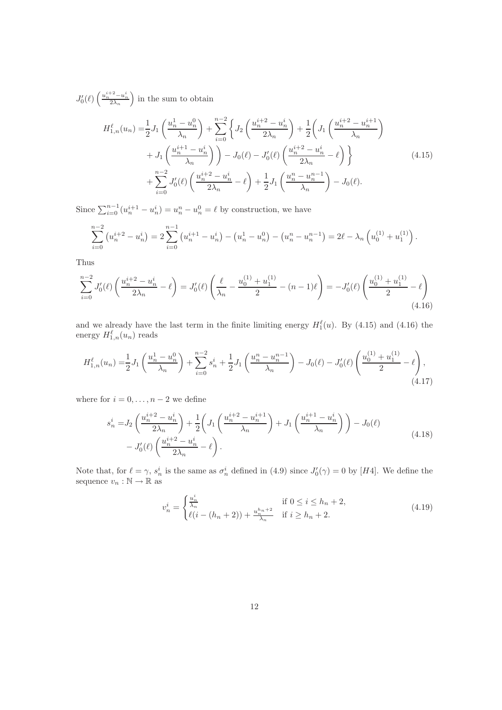$J_0'(\ell)\left(\frac{u_n^{i+2}-u_n^i}{2\lambda_n}\right)$ ) in the sum to obtain

$$
H_{1,n}^{\ell}(u_n) = \frac{1}{2} J_1 \left( \frac{u_n^1 - u_n^0}{\lambda_n} \right) + \sum_{i=0}^{n-2} \left\{ J_2 \left( \frac{u_n^{i+2} - u_n^i}{2\lambda_n} \right) + \frac{1}{2} \left( J_1 \left( \frac{u_n^{i+2} - u_n^{i+1}}{\lambda_n} \right) \right) \right\}
$$
  
+ 
$$
J_1 \left( \frac{u_n^{i+1} - u_n^i}{\lambda_n} \right) - J_0(\ell) - J_0'(\ell) \left( \frac{u_n^{i+2} - u_n^i}{2\lambda_n} - \ell \right) \right\}
$$
  
+ 
$$
\sum_{i=0}^{n-2} J_0'(\ell) \left( \frac{u_n^{i+2} - u_n^i}{2\lambda_n} - \ell \right) + \frac{1}{2} J_1 \left( \frac{u_n^n - u_n^{n-1}}{\lambda_n} \right) - J_0(\ell).
$$
 (4.15)

Since  $\sum_{i=0}^{n-1} (u_n^{i+1} - u_n^i) = u_n^n - u_n^0 = \ell$  by construction, we have

$$
\sum_{i=0}^{n-2} \left( u_n^{i+2} - u_n^i \right) = 2 \sum_{i=0}^{n-1} \left( u_n^{i+1} - u_n^i \right) - \left( u_n^1 - u_n^0 \right) - \left( u_n^n - u_n^{n-1} \right) = 2\ell - \lambda_n \left( u_0^{(1)} + u_1^{(1)} \right).
$$

Thus

$$
\sum_{i=0}^{n-2} J_0'(\ell) \left( \frac{u_n^{i+2} - u_n^i}{2\lambda_n} - \ell \right) = J_0'(\ell) \left( \frac{\ell}{\lambda_n} - \frac{u_0^{(1)} + u_1^{(1)}}{2} - (n-1)\ell \right) = -J_0'(\ell) \left( \frac{u_0^{(1)} + u_1^{(1)}}{2} - \ell \right)
$$
\n(4.16)

and we already have the last term in the finite limiting energy  $H_1^{\ell}(u)$ . By (4.15) and (4.16) the energy  $H_{1,n}^{\ell}(u_n)$  reads

$$
H_{1,n}^{\ell}(u_n) = \frac{1}{2}J_1\left(\frac{u_n^1 - u_n^0}{\lambda_n}\right) + \sum_{i=0}^{n-2} s_n^i + \frac{1}{2}J_1\left(\frac{u_n^n - u_n^{n-1}}{\lambda_n}\right) - J_0(\ell) - J_0'(\ell)\left(\frac{u_0^{(1)} + u_1^{(1)}}{2} - \ell\right),\tag{4.17}
$$

where for  $i = 0, \ldots, n-2$  we define

$$
s_n^i = J_2 \left( \frac{u_n^{i+2} - u_n^i}{2\lambda_n} \right) + \frac{1}{2} \left( J_1 \left( \frac{u_n^{i+2} - u_n^{i+1}}{\lambda_n} \right) + J_1 \left( \frac{u_n^{i+1} - u_n^i}{\lambda_n} \right) \right) - J_0(\ell)
$$
  
- 
$$
J_0'(\ell) \left( \frac{u_n^{i+2} - u_n^i}{2\lambda_n} - \ell \right).
$$
 (4.18)

Note that, for  $\ell = \gamma$ ,  $s_n^i$  is the same as  $\sigma_n^i$  defined in (4.9) since  $J'_0(\gamma) = 0$  by [H4]. We define the sequence  $v_n : \mathbb{N} \to \mathbb{R}$  as

$$
v_n^i = \begin{cases} \frac{u_n^i}{\lambda_n} & \text{if } 0 \le i \le h_n + 2, \\ \ell(i - (h_n + 2)) + \frac{u_n^{h_n + 2}}{\lambda_n} & \text{if } i \ge h_n + 2. \end{cases}
$$
(4.19)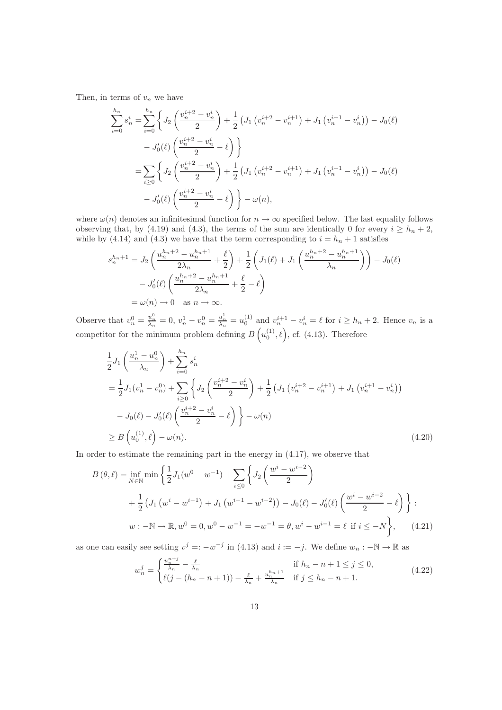Then, in terms of  $v_n$  we have

$$
\sum_{i=0}^{h_n} s_n^i = \sum_{i=0}^{h_n} \left\{ J_2 \left( \frac{v_n^{i+2} - v_n^i}{2} \right) + \frac{1}{2} \left( J_1 \left( v_n^{i+2} - v_n^{i+1} \right) + J_1 \left( v_n^{i+1} - v_n^i \right) \right) - J_0(\ell) \right\}
$$
  

$$
- J_0'(\ell) \left( \frac{v_n^{i+2} - v_n^i}{2} - \ell \right) \right\}
$$
  

$$
= \sum_{i \geq 0} \left\{ J_2 \left( \frac{v_n^{i+2} - v_n^i}{2} \right) + \frac{1}{2} \left( J_1 \left( v_n^{i+2} - v_n^{i+1} \right) + J_1 \left( v_n^{i+1} - v_n^i \right) \right) - J_0(\ell) \right\}
$$
  

$$
- J_0'(\ell) \left( \frac{v_n^{i+2} - v_n^i}{2} - \ell \right) \right\} - \omega(n),
$$

where  $\omega(n)$  denotes an infinitesimal function for  $n \to \infty$  specified below. The last equality follows observing that, by (4.19) and (4.3), the terms of the sum are identically 0 for every  $i \geq h_n + 2$ , while by (4.14) and (4.3) we have that the term corresponding to  $i = h_n + 1$  satisfies

$$
s_n^{h_n+1} = J_2 \left( \frac{u_n^{h_n+2} - u_n^{h_n+1}}{2\lambda_n} + \frac{\ell}{2} \right) + \frac{1}{2} \left( J_1(\ell) + J_1 \left( \frac{u_n^{h_n+2} - u_n^{h_n+1}}{\lambda_n} \right) \right) - J_0(\ell)
$$
  

$$
- J_0'(\ell) \left( \frac{u_n^{h_n+2} - u_n^{h_n+1}}{2\lambda_n} + \frac{\ell}{2} - \ell \right)
$$
  

$$
= \omega(n) \to 0 \quad \text{as } n \to \infty.
$$

Observe that  $v_n^0 = \frac{u_n^0}{\lambda_n} = 0$ ,  $v_n^1 - v_n^0 = \frac{u_n^1}{\lambda_n} = u_0^{(1)}$  and  $v_n^{i+1} - v_n^i = \ell$  for  $i \ge h_n + 2$ . Hence  $v_n$  is a competitor for the minimum problem defining  $B\left(u_0^{(1)},\ell\right)$ , cf. (4.13). Therefore

$$
\frac{1}{2}J_1\left(\frac{u_n^1 - u_n^0}{\lambda_n}\right) + \sum_{i=0}^{h_n} s_n^i
$$
\n
$$
= \frac{1}{2}J_1(v_n^1 - v_n^0) + \sum_{i\geq 0} \left\{ J_2\left(\frac{v_n^{i+2} - v_n^i}{2}\right) + \frac{1}{2} \left(J_1\left(v_n^{i+2} - v_n^{i+1}\right) + J_1\left(v_n^{i+1} - v_n^i\right)\right) - J_0(\ell) - J_0'(\ell)\left(\frac{v_n^{i+2} - v_n^i}{2} - \ell\right) \right\} - \omega(n)
$$
\n
$$
\geq B\left(u_0^{(1)}, \ell\right) - \omega(n). \tag{4.20}
$$

In order to estimate the remaining part in the energy in (4.17), we observe that

$$
B(\theta, \ell) = \inf_{N \in \mathbb{N}} \min \left\{ \frac{1}{2} J_1(w^0 - w^{-1}) + \sum_{i \le 0} \left\{ J_2 \left( \frac{w^i - w^{i-2}}{2} \right) + \frac{1}{2} \left( J_1 \left( w^i - w^{i-1} \right) + J_1 \left( w^{i-1} - w^{i-2} \right) \right) - J_0(\ell) - J_0'(\ell) \left( \frac{w^i - w^{i-2}}{2} - \ell \right) \right\};
$$
  

$$
w : -\mathbb{N} \to \mathbb{R}, w^0 = 0, w^0 - w^{-1} = -w^{-1} = \theta, w^i - w^{i-1} = \ell \text{ if } i \le -N \right\}, \quad (4.21)
$$

as one can easily see setting  $v^j =: -w^{-j}$  in (4.13) and  $i := -j$ . We define  $w_n : -\mathbb{N} \to \mathbb{R}$  as

$$
w_n^j = \begin{cases} \frac{u_n^{n+j}}{\lambda_n} - \frac{\ell}{\lambda_n} & \text{if } h_n - n + 1 \le j \le 0, \\ \ell(j - (h_n - n + 1)) - \frac{\ell}{\lambda_n} + \frac{u_n^{h_n + 1}}{\lambda_n} & \text{if } j \le h_n - n + 1. \end{cases}
$$
(4.22)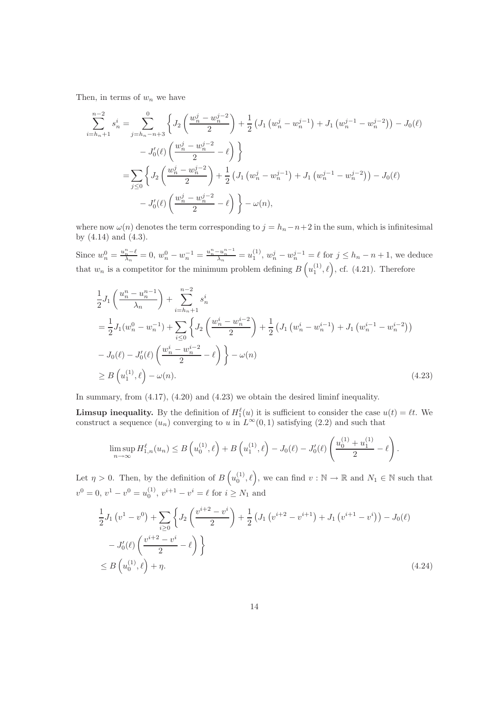Then, in terms of  $w_n$  we have

$$
\sum_{i=h_n+1}^{n-2} s_n^i = \sum_{j=h_n-n+3}^0 \left\{ J_2 \left( \frac{w_n^j - w_n^{j-2}}{2} \right) + \frac{1}{2} \left( J_1 \left( w_n^j - w_n^{j-1} \right) + J_1 \left( w_n^{j-1} - w_n^{j-2} \right) \right) - J_0(\ell) \right\}
$$
  

$$
- J_0'(\ell) \left( \frac{w_n^j - w_n^{j-2}}{2} - \ell \right) \left\}
$$
  

$$
= \sum_{j \leq 0} \left\{ J_2 \left( \frac{w_n^j - w_n^{j-2}}{2} \right) + \frac{1}{2} \left( J_1 \left( w_n^j - w_n^{j-1} \right) + J_1 \left( w_n^{j-1} - w_n^{j-2} \right) \right) - J_0(\ell) \right\}
$$
  

$$
- J_0'(\ell) \left( \frac{w_n^j - w_n^{j-2}}{2} - \ell \right) \left\} - \omega(n),
$$

where now  $\omega(n)$  denotes the term corresponding to  $j = h_n - n + 2$  in the sum, which is infinitesimal by (4.14) and (4.3).

Since  $w_n^0 = \frac{u_n^n - \ell}{\lambda_n} = 0$ ,  $w_n^0 - w_n^{-1} = \frac{u_n^n - u_n^{n-1}}{\lambda_n} = u_1^{(1)}$ ,  $w_n^j - w_n^{j-1} = \ell$  for  $j \le h_n - n + 1$ , we deduce that  $w_n$  is a competitor for the minimum problem defining  $B\left(u_1^{(1)},\ell\right)$ , cf. (4.21). Therefore

$$
\frac{1}{2}J_{1}\left(\frac{u_{n}^{n}-u_{n}^{n-1}}{\lambda_{n}}\right)+\sum_{i=h_{n}+1}^{n-2} s_{n}^{i}
$$
\n
$$
=\frac{1}{2}J_{1}(w_{n}^{0}-w_{n}^{-1})+\sum_{i\leq 0} \left\{J_{2}\left(\frac{w_{n}^{i}-w_{n}^{i-2}}{2}\right)+\frac{1}{2}\left(J_{1}\left(w_{n}^{i}-w_{n}^{i-1}\right)+J_{1}\left(w_{n}^{i-1}-w_{n}^{i-2}\right)\right)\right\}
$$
\n
$$
-J_{0}(\ell)-J_{0}'(\ell)\left(\frac{w_{n}^{i}-w_{n}^{i-2}}{2}-\ell\right)\right\}-\omega(n)
$$
\n
$$
\geq B\left(u_{1}^{(1)},\ell\right)-\omega(n). \tag{4.23}
$$

In summary, from (4.17), (4.20) and (4.23) we obtain the desired liminf inequality.

**Limsup inequality.** By the definition of  $H_1^{\ell}(u)$  it is sufficient to consider the case  $u(t) = \ell t$ . We construct a sequence  $(u_n)$  converging to u in  $L^{\infty}(0, 1)$  satisfying (2.2) and such that

$$
\limsup_{n \to \infty} H_{1,n}^{\ell}(u_n) \leq B\left(u_0^{(1)}, \ell\right) + B\left(u_1^{(1)}, \ell\right) - J_0(\ell) - J_0'(\ell) \left(\frac{u_0^{(1)} + u_1^{(1)}}{2} - \ell\right).
$$

Let  $\eta > 0$ . Then, by the definition of  $B\left(u_0^{(1)}, \ell\right)$ , we can find  $v : \mathbb{N} \to \mathbb{R}$  and  $N_1 \in \mathbb{N}$  such that  $v^0 = 0, v^1 - v^0 = u_0^{(1)}, v^{i+1} - v^i = \ell \text{ for } i \geq N_1 \text{ and }$ 

$$
\frac{1}{2}J_1(v^1 - v^0) + \sum_{i \ge 0} \left\{ J_2\left(\frac{v^{i+2} - v^i}{2}\right) + \frac{1}{2} \left( J_1(v^{i+2} - v^{i+1}) + J_1(v^{i+1} - v^i) \right) - J_0(\ell) - J_0'(\ell) \left( \frac{v^{i+2} - v^i}{2} - \ell \right) \right\}
$$
\n
$$
\le B\left(u_0^{(1)}, \ell\right) + \eta. \tag{4.24}
$$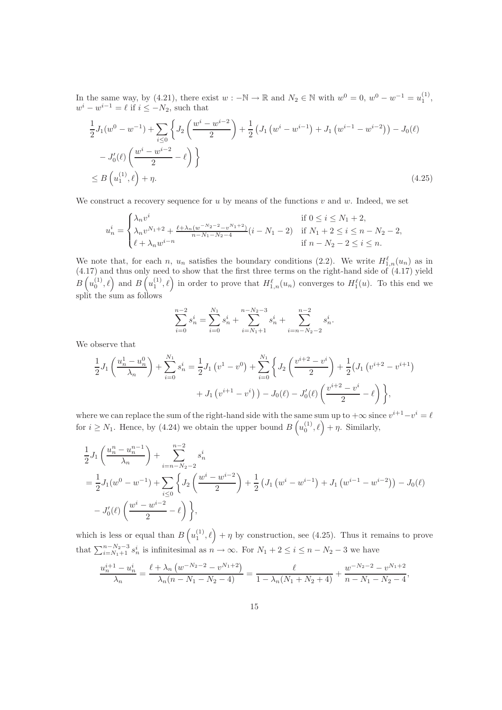In the same way, by (4.21), there exist  $w : -\mathbb{N} \to \mathbb{R}$  and  $N_2 \in \mathbb{N}$  with  $w^0 = 0$ ,  $w^0 - w^{-1} = u_1^{(1)}$ ,  $w^{i} - w^{i-1} = \ell$  if  $i \leq -N_2$ , such that

$$
\frac{1}{2}J_1(w^0 - w^{-1}) + \sum_{i \le 0} \left\{ J_2\left(\frac{w^i - w^{i-2}}{2}\right) + \frac{1}{2} \left(J_1\left(w^i - w^{i-1}\right) + J_1\left(w^{i-1} - w^{i-2}\right)\right) - J_0(\ell) - J_0'(\ell) \left(\frac{w^i - w^{i-2}}{2} - \ell\right) \right\}
$$
\n
$$
\le B\left(u_1^{(1)}, \ell\right) + \eta. \tag{4.25}
$$

We construct a recovery sequence for u by means of the functions  $v$  and  $w$ . Indeed, we set

$$
u_n^i = \begin{cases} \lambda_n v^i & \text{if } 0 \le i \le N_1 + 2, \\ \lambda_n v^{N_1 + 2} + \frac{\ell + \lambda_n (w^{-N_2 - 2} - v^{N_1 + 2})}{n - N_1 - N_2 - 4} (i - N_1 - 2) & \text{if } N_1 + 2 \le i \le n - N_2 - 2, \\ \ell + \lambda_n w^{i - n} & \text{if } n - N_2 - 2 \le i \le n. \end{cases}
$$

We note that, for each n,  $u_n$  satisfies the boundary conditions (2.2). We write  $H_{1,n}^{\ell}(u_n)$  as in  $(4.17)$  and thus only need to show that the first three terms on the right-hand side of  $(4.17)$  yield  $B\left(u_0^{(1)},\ell\right)$  and  $B\left(u_1^{(1)},\ell\right)$  in order to prove that  $H_{1,n}^{\ell}(u_n)$  converges to  $H_1^{\ell}(u)$ . To this end we split the sum as follows

$$
\sum_{i=0}^{n-2} s_n^i = \sum_{i=0}^{N_1} s_n^i + \sum_{i=N_1+1}^{n-N_2-3} s_n^i + \sum_{i=n-N_2-2}^{n-2} s_n^i.
$$

We observe that

$$
\frac{1}{2}J_1\left(\frac{u_n^1 - u_n^0}{\lambda_n}\right) + \sum_{i=0}^{N_1} s_n^i = \frac{1}{2}J_1\left(v^1 - v^0\right) + \sum_{i=0}^{N_1} \left\{J_2\left(\frac{v^{i+2} - v^i}{2}\right) + \frac{1}{2}\left(J_1\left(v^{i+2} - v^{i+1}\right) + J_1\left(v^{i+1} - v^i\right)\right) - J_0(\ell) - J_0'(\ell)\left(\frac{v^{i+2} - v^i}{2} - \ell\right)\right\},\
$$

where we can replace the sum of the right-hand side with the same sum up to  $+\infty$  since  $v^{i+1}-v^i = \ell$ for  $i \geq N_1$ . Hence, by (4.24) we obtain the upper bound  $B\left(u_0^{(1)}, \ell\right) + \eta$ . Similarly,

$$
\frac{1}{2}J_1\left(\frac{u_n^n - u_n^{n-1}}{\lambda_n}\right) + \sum_{i=n-N_2-2}^{n-2} s_n^i
$$
\n
$$
= \frac{1}{2}J_1(w^0 - w^{-1}) + \sum_{i \le 0} \left\{ J_2\left(\frac{w^i - w^{i-2}}{2}\right) + \frac{1}{2} \left(J_1\left(w^i - w^{i-1}\right) + J_1\left(w^{i-1} - w^{i-2}\right)\right) - J_0(\ell)
$$
\n
$$
- J_0'(\ell)\left(\frac{w^i - w^{i-2}}{2} - \ell\right) \right\},
$$

which is less or equal than  $B\left(u_1^{(1)},\ell\right)+\eta$  by construction, see (4.25). Thus it remains to prove that  $\sum_{i=N_1+1}^{n-N_2-3} s_n^i$  is infinitesimal as  $n \to \infty$ . For  $N_1 + 2 \le i \le n - N_2 - 3$  we have

$$
\frac{u_n^{i+1} - u_n^i}{\lambda_n} = \frac{\ell + \lambda_n \left( w^{-N_2 - 2} - v^{N_1 + 2} \right)}{\lambda_n (n - N_1 - N_2 - 4)} = \frac{\ell}{1 - \lambda_n (N_1 + N_2 + 4)} + \frac{w^{-N_2 - 2} - v^{N_1 + 2}}{n - N_1 - N_2 - 4},
$$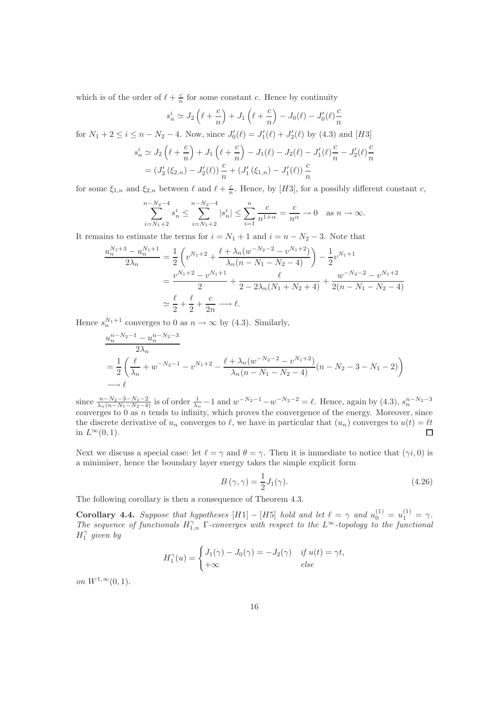which is of the order of  $\ell + \frac{c}{n}$  for some constant c. Hence by continuity

$$
s_n^i \simeq J_2\left(\ell + \frac{c}{n}\right) + J_1\left(\ell + \frac{c}{n}\right) - J_0(\ell) - J_0'(\ell)\frac{c}{n}
$$

for  $N_1 + 2 \le i \le n - N_2 - 4$ . Now, since  $J'_0(\ell) = J'_1(\ell) + J'_2(\ell)$  by (4.3) and [H3]

$$
s_n^i \simeq J_2\left(\ell + \frac{c}{n}\right) + J_1\left(\ell + \frac{c}{n}\right) - J_1(\ell) - J_2(\ell) - J_1'(\ell)\frac{c}{n} - J_2'(\ell)\frac{c}{n}
$$
  
=  $(J_2'(\xi_{2,n}) - J_2'(\ell))\frac{c}{n} + (J_1'(\xi_{1,n}) - J_1'(\ell))\frac{c}{n}$ 

for some  $\xi_{1,n}$  and  $\xi_{2,n}$  between  $\ell$  and  $\ell + \frac{c}{n}$ . Hence, by [H3], for a possibly different constant c,

$$
\sum_{i=N_1+2}^{n-N_2-4} s_n^i \le \sum_{i=N_1+2}^{n-N_2-4} |s_n^i| \le \sum_{i=1}^n \frac{c}{n^{1+\alpha}} = \frac{c}{n^{\alpha}} \to 0 \quad \text{as } n \to \infty.
$$

It remains to estimate the terms for  $i = N_1 + 1$  and  $i = n - N_2 - 3$ . Note that

$$
\frac{u_n^{N_1+3} - u_n^{N_1+1}}{2\lambda_n} = \frac{1}{2} \left( v^{N_1+2} + \frac{\ell + \lambda_n (w^{-N_2-2} - v^{N_1+2})}{\lambda_n (n - N_1 - N_2 - 4)} \right) - \frac{1}{2} v^{N_1+1}
$$
  
= 
$$
\frac{v^{N_1+2} - v^{N_1+1}}{2} + \frac{\ell}{2 - 2\lambda_n (N_1 + N_2 + 4)} + \frac{w^{-N_2-2} - v^{N_1+2}}{2(n - N_1 - N_2 - 4)}
$$
  

$$
\approx \frac{\ell}{2} + \frac{\ell}{2} + \frac{c}{2n} \longrightarrow \ell.
$$

Hence  $s_n^{N_1+1}$  converges to 0 as  $n \to \infty$  by (4.3). Similarly,

$$
\frac{u_n^{n-N_2-1} - u_n^{n-N_2-3}}{2\lambda_n}
$$
\n
$$
= \frac{1}{2} \left( \frac{\ell}{\lambda_n} + w^{-N_2-1} - v^{N_1+2} - \frac{\ell + \lambda_n (w^{-N_2-2} - v^{N_1+2})}{\lambda_n (n - N_1 - N_2 - 4)} (n - N_2 - 3 - N_1 - 2) \right)
$$
\n
$$
\longrightarrow \ell
$$

since  $\frac{n-N_2-3-N_1-2}{\lambda_n(n-N_1-N_2-4)}$  is of order  $\frac{1}{\lambda_n}-1$  and  $w^{-N_2-1}-w^{-N_2-2}=\ell$ . Hence, again by  $(4.3)$ ,  $s_n^{n-N_2-3}$ converges to  $0$  as  $n$  tends to infinity, which proves the convergence of the energy. Moreover, since the discrete derivative of  $u_n$  converges to  $\ell$ , we have in particular that  $(u_n)$  converges to  $u(t) = \ell t$ in  $L^{\infty}(0, 1)$ .  $\Box$ 

Next we discuss a special case: let  $\ell = \gamma$  and  $\theta = \gamma$ . Then it is immediate to notice that  $(\gamma i, 0)$  is a minimiser, hence the boundary layer energy takes the simple explicit form

$$
B(\gamma, \gamma) = \frac{1}{2}J_1(\gamma). \tag{4.26}
$$

The following corollary is then a consequence of Theorem 4.3.

**Corollary 4.4.** Suppose that hypotheses  $[H1] - [H5]$  hold and let  $\ell = \gamma$  and  $u_0^{(1)} = u_1^{(1)} = \gamma$ . The sequence of functionals  $H_{1,n}^{\gamma}$  Γ-converges with respect to the L∞-topology to the functional  $H_1^{\gamma}$  given by

$$
H_1^{\gamma}(u) = \begin{cases} J_1(\gamma) - J_0(\gamma) = -J_2(\gamma) & \text{if } u(t) = \gamma t, \\ +\infty & \text{else} \end{cases}
$$

*on*  $W^{1,\infty}(0,1)$ .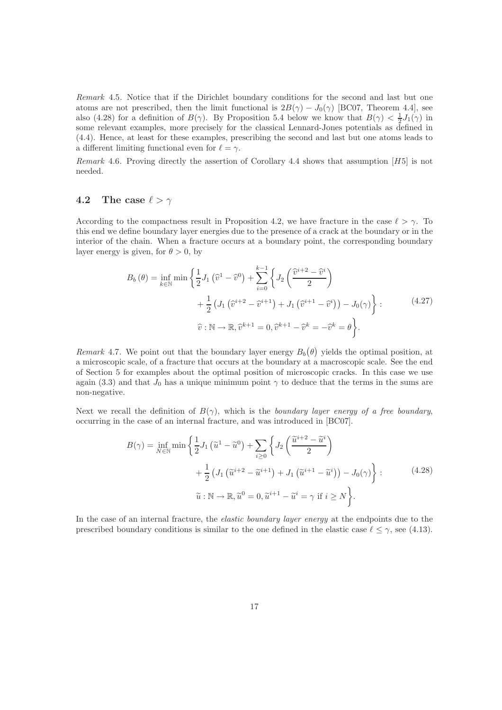Remark 4.5. Notice that if the Dirichlet boundary conditions for the second and last but one atoms are not prescribed, then the limit functional is  $2B(\gamma) - J_0(\gamma)$  [BC07, Theorem 4.4], see also (4.28) for a definition of  $B(\gamma)$ . By Proposition 5.4 below we know that  $B(\gamma) < \frac{1}{2}J_1(\gamma)$  in some relevant examples, more precisely for the classical Lennard-Jones potentials as defined in (4.4). Hence, at least for these examples, prescribing the second and last but one atoms leads to a different limiting functional even for  $\ell = \gamma$ .

Remark 4.6. Proving directly the assertion of Corollary 4.4 shows that assumption  $[H5]$  is not needed.

#### 4.2 The case  $\ell > \gamma$

According to the compactness result in Proposition 4.2, we have fracture in the case  $\ell > \gamma$ . To this end we define boundary layer energies due to the presence of a crack at the boundary or in the interior of the chain. When a fracture occurs at a boundary point, the corresponding boundary layer energy is given, for  $\theta > 0$ , by

$$
B_b(\theta) = \inf_{k \in \mathbb{N}} \min \left\{ \frac{1}{2} J_1\left(\hat{v}^1 - \hat{v}^0\right) + \sum_{i=0}^{k-1} \left\{ J_2\left(\frac{\hat{v}^{i+2} - \hat{v}^i}{2}\right) + \frac{1}{2} \left(J_1\left(\hat{v}^{i+2} - \hat{v}^{i+1}\right) + J_1\left(\hat{v}^{i+1} - \hat{v}^i\right)\right) - J_0(\gamma) \right\} : \qquad (4.27)
$$

$$
\hat{v}: \mathbb{N} \to \mathbb{R}, \hat{v}^{k+1} = 0, \hat{v}^{k+1} - \hat{v}^k = -\hat{v}^k = \theta \right\}.
$$

Remark 4.7. We point out that the boundary layer energy  $B_b(\theta)$  yields the optimal position, at a microscopic scale, of a fracture that occurs at the boundary at a macroscopic scale. See the end of Section 5 for examples about the optimal position of microscopic cracks. In this case we use again (3.3) and that  $J_0$  has a unique minimum point  $\gamma$  to deduce that the terms in the sums are non-negative.

Next we recall the definition of  $B(\gamma)$ , which is the boundary layer energy of a free boundary, occurring in the case of an internal fracture, and was introduced in [BC07].

$$
B(\gamma) = \inf_{N \in \mathbb{N}} \min \left\{ \frac{1}{2} J_1 \left( \tilde{u}^1 - \tilde{u}^0 \right) + \sum_{i \ge 0} \left\{ J_2 \left( \frac{\tilde{u}^{i+2} - \tilde{u}^i}{2} \right) + \frac{1}{2} \left( J_1 \left( \tilde{u}^{i+2} - \tilde{u}^{i+1} \right) + J_1 \left( \tilde{u}^{i+1} - \tilde{u}^i \right) \right) - J_0(\gamma) \right\} : \qquad (4.28)
$$

$$
\tilde{u} : \mathbb{N} \to \mathbb{R}, \tilde{u}^0 = 0, \tilde{u}^{i+1} - \tilde{u}^i = \gamma \text{ if } i \ge N \bigg\}.
$$

In the case of an internal fracture, the *elastic boundary layer energy* at the endpoints due to the prescribed boundary conditions is similar to the one defined in the elastic case  $\ell \leq \gamma$ , see (4.13).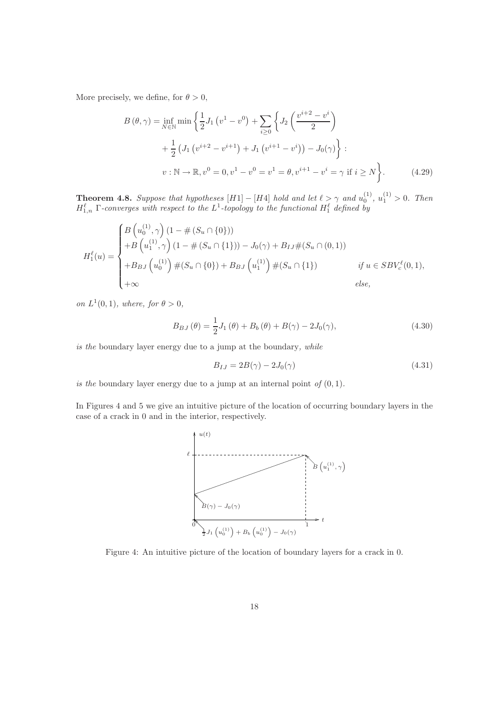More precisely, we define, for  $\theta > 0$ ,

$$
B(\theta, \gamma) = \inf_{N \in \mathbb{N}} \min \left\{ \frac{1}{2} J_1 \left( v^1 - v^0 \right) + \sum_{i \ge 0} \left\{ J_2 \left( \frac{v^{i+2} - v^i}{2} \right) + \frac{1}{2} \left( J_1 \left( v^{i+2} - v^{i+1} \right) + J_1 \left( v^{i+1} - v^i \right) \right) - J_0(\gamma) \right\} : \n v : \mathbb{N} \to \mathbb{R}, v^0 = 0, v^1 - v^0 = v^1 = \theta, v^{i+1} - v^i = \gamma \text{ if } i \ge N \right\}.
$$
\n(4.29)

**Theorem 4.8.** Suppose that hypotheses  $[H1] - [H4]$  hold and let  $\ell > \gamma$  and  $u_0^{(1)}$ ,  $u_1^{(1)} > 0$ . Then  $H_{1,n}^{\ell}$   $\Gamma$ -converges with respect to the  $L^1$ -topology to the functional  $H_1^{\ell}$  defined by

$$
H_1^{\ell}(u) = \begin{cases} B\left(u_0^{(1)}, \gamma\right) (1 - \#(S_u \cap \{0\})) \\ + B\left(u_1^{(1)}, \gamma\right) (1 - \#(S_u \cap \{1\})) - J_0(\gamma) + B_{IJ} \#(S_u \cap (0, 1)) \\ + B_{BJ}\left(u_0^{(1)}\right) \#(S_u \cap \{0\}) + B_{BJ}\left(u_1^{(1)}\right) \#(S_u \cap \{1\}) & \text{if } u \in SBV_c^{\ell}(0, 1), \\ + \infty & \text{else,} \end{cases}
$$

on  $L^1(0,1)$ , where, for  $\theta > 0$ ,

$$
B_{BJ}(\theta) = \frac{1}{2}J_1(\theta) + B_b(\theta) + B(\gamma) - 2J_0(\gamma),
$$
\n(4.30)

is the boundary layer energy due to a jump at the boundary, while

$$
B_{IJ} = 2B(\gamma) - 2J_0(\gamma) \tag{4.31}
$$

is the boundary layer energy due to a jump at an internal point of  $(0, 1)$ .

In Figures 4 and 5 we give an intuitive picture of the location of occurring boundary layers in the case of a crack in 0 and in the interior, respectively.



Figure 4: An intuitive picture of the location of boundary layers for a crack in 0.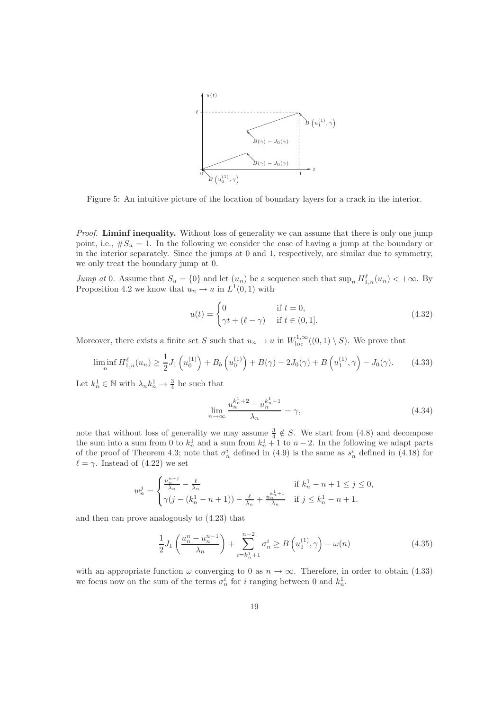

Figure 5: An intuitive picture of the location of boundary layers for a crack in the interior.

Proof. Liminf inequality. Without loss of generality we can assume that there is only one jump point, i.e.,  $\#S_u = 1$ . In the following we consider the case of having a jump at the boundary or in the interior separately. Since the jumps at 0 and 1, respectively, are similar due to symmetry, we only treat the boundary jump at 0.

*Jump at* 0. Assume that  $S_u = \{0\}$  and let  $(u_n)$  be a sequence such that  $\sup_n H_{1,n}^{\ell}(u_n) < +\infty$ . By Proposition 4.2 we know that  $u_n \to u$  in  $L^1(0,1)$  with

$$
u(t) = \begin{cases} 0 & \text{if } t = 0, \\ \gamma t + (\ell - \gamma) & \text{if } t \in (0, 1]. \end{cases}
$$
(4.32)

Moreover, there exists a finite set S such that  $u_n \to u$  in  $W^{1,\infty}_{loc}((0,1) \setminus S)$ . We prove that

$$
\liminf_{n} H_{1,n}^{\ell}(u_n) \ge \frac{1}{2} J_1\left(u_0^{(1)}\right) + B_b\left(u_0^{(1)}\right) + B(\gamma) - 2J_0(\gamma) + B\left(u_1^{(1)}, \gamma\right) - J_0(\gamma). \tag{4.33}
$$

Let  $k_n^1 \in \mathbb{N}$  with  $\lambda_n k_n^1 \to \frac{3}{4}$  be such that

$$
\lim_{n \to \infty} \frac{u_n^{k_n^1 + 2} - u_n^{k_n^1 + 1}}{\lambda_n} = \gamma,
$$
\n(4.34)

note that without loss of generality we may assume  $\frac{3}{4} \notin S$ . We start from (4.8) and decompose the sum into a sum from 0 to  $k_n^1$  and a sum from  $k_n^1 + 1$  to  $n-2$ . In the following we adapt parts of the proof of Theorem 4.3; note that  $\sigma_n^i$  defined in (4.9) is the same as  $s_n^i$  defined in (4.18) for  $\ell = \gamma$ . Instead of (4.22) we set

$$
w_n^j = \begin{cases} \frac{u_n^{n+j}}{\lambda_n} - \frac{\ell}{\lambda_n} & \text{if } k_n^1 - n + 1 \le j \le 0, \\ \gamma(j - (k_n^1 - n + 1)) - \frac{\ell}{\lambda_n} + \frac{u_n^{k+1}}{\lambda_n} & \text{if } j \le k_n^1 - n + 1. \end{cases}
$$

and then can prove analogously to (4.23) that

$$
\frac{1}{2}J_1\left(\frac{u_n^n - u_n^{n-1}}{\lambda_n}\right) + \sum_{i=k_n^1+1}^{n-2} \sigma_n^i \ge B\left(u_1^{(1)}, \gamma\right) - \omega(n) \tag{4.35}
$$

with an appropriate function  $\omega$  converging to 0 as  $n \to \infty$ . Therefore, in order to obtain (4.33) we focus now on the sum of the terms  $\sigma_n^i$  for *i* ranging between 0 and  $k_n^1$ .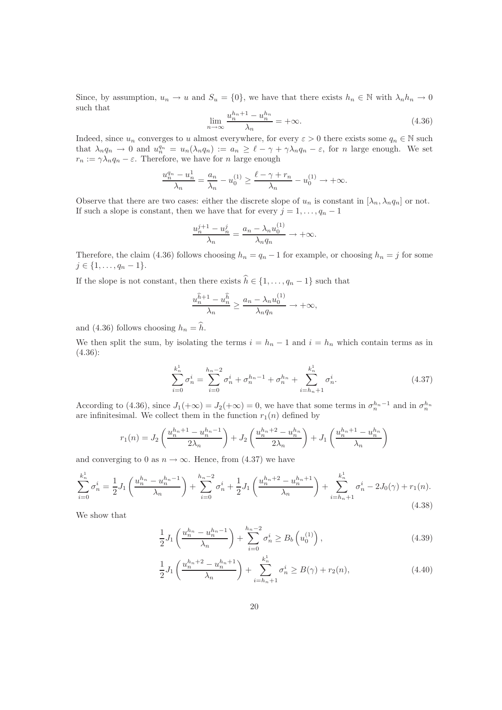Since, by assumption,  $u_n \to u$  and  $S_u = \{0\}$ , we have that there exists  $h_n \in \mathbb{N}$  with  $\lambda_n h_n \to 0$ such that

$$
\lim_{n \to \infty} \frac{u_n^{h_n+1} - u_n^{h_n}}{\lambda_n} = +\infty.
$$
\n(4.36)

Indeed, since  $u_n$  converges to u almost everywhere, for every  $\varepsilon > 0$  there exists some  $q_n \in \mathbb{N}$  such that  $\lambda_n q_n \to 0$  and  $u_n^{q_n} = u_n(\lambda_n q_n) := a_n \geq \ell - \gamma + \gamma \lambda_n q_n - \varepsilon$ , for n large enough. We set  $r_n := \gamma \lambda_n q_n - \varepsilon$ . Therefore, we have for n large enough

$$
\frac{u_n^{q_n} - u_n^1}{\lambda_n} = \frac{a_n}{\lambda_n} - u_0^{(1)} \ge \frac{\ell - \gamma + r_n}{\lambda_n} - u_0^{(1)} \to +\infty.
$$

Observe that there are two cases: either the discrete slope of  $u_n$  is constant in  $[\lambda_n, \lambda_n q_n]$  or not. If such a slope is constant, then we have that for every  $j = 1, \ldots, q_n - 1$ 

$$
\frac{u_n^{j+1} - u_n^j}{\lambda_n} = \frac{a_n - \lambda_n u_0^{(1)}}{\lambda_n q_n} \to +\infty.
$$

Therefore, the claim (4.36) follows choosing  $h_n = q_n - 1$  for example, or choosing  $h_n = j$  for some  $j \in \{1, \ldots, q_n - 1\}.$ 

If the slope is not constant, then there exists  $\hat{h} \in \{1, \ldots, q_n - 1\}$  such that

$$
\frac{u_n^{\widehat{h}+1} - u_n^{\widehat{h}}}{\lambda_n} \ge \frac{a_n - \lambda_n u_0^{(1)}}{\lambda_n q_n} \to +\infty,
$$

and (4.36) follows choosing  $h_n = \hat{h}$ .

We then split the sum, by isolating the terms  $i = h_n - 1$  and  $i = h_n$  which contain terms as in (4.36):

$$
\sum_{i=0}^{k_n^1} \sigma_n^i = \sum_{i=0}^{h_n-2} \sigma_n^i + \sigma_n^{h_n-1} + \sigma_n^{h_n} + \sum_{i=h_n+1}^{k_n^1} \sigma_n^i.
$$
 (4.37)

According to (4.36), since  $J_1(+\infty) = J_2(+\infty) = 0$ , we have that some terms in  $\sigma_n^{h_n-1}$  and in  $\sigma_n^{h_n}$ are infinitesimal. We collect them in the function  $r_1(n)$  defined by

$$
r_1(n) = J_2\left(\frac{u_n^{h_n+1} - u_n^{h_n-1}}{2\lambda_n}\right) + J_2\left(\frac{u_n^{h_n+2} - u_n^{h_n}}{2\lambda_n}\right) + J_1\left(\frac{u_n^{h_n+1} - u_n^{h_n}}{\lambda_n}\right)
$$

and converging to 0 as  $n \to \infty$ . Hence, from (4.37) we have

$$
\sum_{i=0}^{k_n^1} \sigma_n^i = \frac{1}{2} J_1 \left( \frac{u_n^{h_n} - u_n^{h_n - 1}}{\lambda_n} \right) + \sum_{i=0}^{h_n - 2} \sigma_n^i + \frac{1}{2} J_1 \left( \frac{u_n^{h_n + 2} - u_n^{h_n + 1}}{\lambda_n} \right) + \sum_{i=h_n + 1}^{k_n^1} \sigma_n^i - 2J_0(\gamma) + r_1(n). \tag{4.38}
$$

We show that

$$
\frac{1}{2}J_1\left(\frac{u_n^{h_n} - u_n^{h_n - 1}}{\lambda_n}\right) + \sum_{i=0}^{h_n - 2} \sigma_n^i \ge B_b\left(u_0^{(1)}\right),\tag{4.39}
$$

$$
\frac{1}{2}J_1\left(\frac{u_n^{h_n+2} - u_n^{h_n+1}}{\lambda_n}\right) + \sum_{i=h_n+1}^{k_n^1} \sigma_n^i \ge B(\gamma) + r_2(n),\tag{4.40}
$$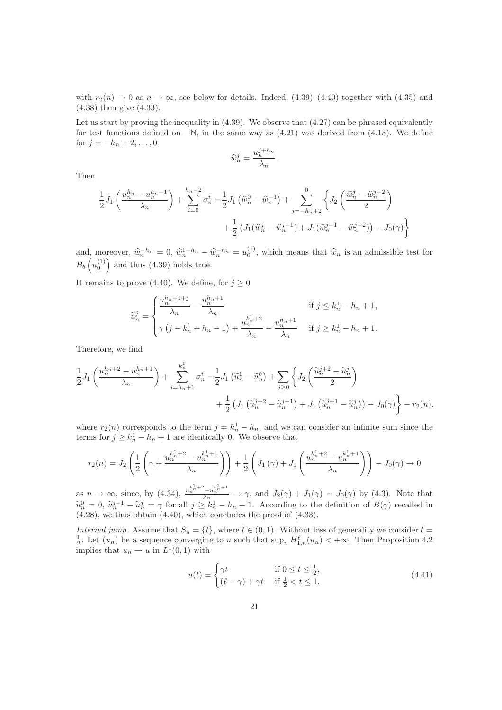with  $r_2(n) \rightarrow 0$  as  $n \rightarrow \infty$ , see below for details. Indeed, (4.39)–(4.40) together with (4.35) and (4.38) then give (4.33).

Let us start by proving the inequality in  $(4.39)$ . We observe that  $(4.27)$  can be phrased equivalently for test functions defined on  $-\mathbb{N}$ , in the same way as (4.21) was derived from (4.13). We define for  $j = -h_n + 2, ..., 0$ 

$$
\widehat{w}_n^j = \frac{u_n^{j+h_n}}{\lambda_n}.
$$

Then

$$
\frac{1}{2}J_1\left(\frac{u_n^{h_n} - u_n^{h_n - 1}}{\lambda_n}\right) + \sum_{i=0}^{h_n - 2} \sigma_n^i = \frac{1}{2}J_1\left(\hat{w}_n^0 - \hat{w}_n^{-1}\right) + \sum_{j=-h_n + 2}^0 \left\{J_2\left(\frac{\hat{w}_n^j - \hat{w}_n^{j-2}}{2}\right) + \frac{1}{2}\left(J_1(\hat{w}_n^j - \hat{w}_n^{j-1}) + J_1(\hat{w}_n^{j-1} - \hat{w}_n^{j-2})\right) - J_0(\gamma)\right\}
$$

and, moreover,  $\hat{w}_n^{-h_n} = 0$ ,  $\hat{w}_n^{1-h_n} - \hat{w}_n^{-h_n} = u_0^{(1)}$ , which means that  $\hat{w}_n$  is an admissible test for  $B_b\left(u_0^{(1)}\right)$  and thus (4.39) holds true.

It remains to prove (4.40). We define, for  $j \geq 0$ 

$$
\widetilde{u}_n^j = \begin{cases}\n\frac{u_n^{h_n+1+j}}{\lambda_n} - \frac{u_n^{h_n+1}}{\lambda_n} & \text{if } j \le k_n^1 - h_n + 1, \\
\gamma(j - k_n^1 + h_n - 1) + \frac{u_n^{k_n+2}}{\lambda_n} - \frac{u_n^{h_n+1}}{\lambda_n} & \text{if } j \ge k_n^1 - h_n + 1.\n\end{cases}
$$

Therefore, we find

$$
\frac{1}{2}J_1\left(\frac{u_n^{h_n+2} - u_n^{h_n+1}}{\lambda_n}\right) + \sum_{i=h_n+1}^{k_n^1} \sigma_n^i = \frac{1}{2}J_1\left(\tilde{u}_n^1 - \tilde{u}_n^0\right) + \sum_{j\geq 0} \left\{J_2\left(\frac{\tilde{u}_n^{j+2} - \tilde{u}_n^j}{2}\right) + \frac{1}{2}\left(J_1\left(\tilde{u}_n^{j+2} - \tilde{u}_n^{j+1}\right) + J_1\left(\tilde{u}_n^{j+1} - \tilde{u}_n^j\right)\right) - J_0(\gamma)\right\} - r_2(n),
$$

where  $r_2(n)$  corresponds to the term  $j = k_n^1 - h_n$ , and we can consider an infinite sum since the terms for  $j \geq k_n^1 - h_n + 1$  are identically 0. We observe that

$$
r_2(n) = J_2\left(\frac{1}{2}\left(\gamma + \frac{u_n^{k_n^1 + 2} - u_n^{k_n^1 + 1}}{\lambda_n}\right)\right) + \frac{1}{2}\left(J_1\left(\gamma\right) + J_1\left(\frac{u_n^{k_n^1 + 2} - u_n^{k_n^1 + 1}}{\lambda_n}\right)\right) - J_0(\gamma) \to 0
$$

as  $n \to \infty$ , since, by (4.34),  $\frac{u_n^{k+2} - u_n^{k+1}}{\lambda_n} \to \gamma$ , and  $J_2(\gamma) + J_1(\gamma) = J_0(\gamma)$  by (4.3). Note that  $\tilde{u}_n^0 = 0$ ,  $\tilde{u}_n^{j+1} - \tilde{u}_n^j = \gamma$  for all  $j \geq k_n^1 - h_n + 1$ . According to the definition of  $B(\gamma)$  recalled in  $(4.28)$ , we thus obtain  $(4.40)$ , which concludes the proof of  $(4.33)$ .

Internal jump. Assume that  $S_u = {\{\overline{t}\}}$ , where  $\overline{t} \in (0,1)$ . Without loss of generality we consider  $\overline{t} =$  $\frac{1}{2}$ . Let  $(u_n)$  be a sequence converging to u such that  $\sup_n H_{1,n}^{\ell}(u_n) < +\infty$ . Then Proposition 4.2 implies that  $u_n \to u$  in  $L^1(0,1)$  with

$$
u(t) = \begin{cases} \gamma t & \text{if } 0 \le t \le \frac{1}{2}, \\ (\ell - \gamma) + \gamma t & \text{if } \frac{1}{2} < t \le 1. \end{cases} \tag{4.41}
$$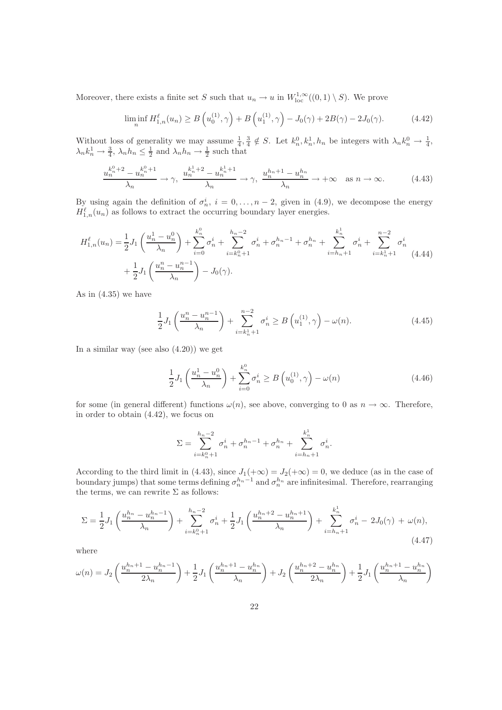Moreover, there exists a finite set S such that  $u_n \to u$  in  $W^{1,\infty}_{loc}((0,1) \setminus S)$ . We prove

$$
\liminf_{n} H_{1,n}^{\ell}(u_n) \ge B\left(u_0^{(1)}, \gamma\right) + B\left(u_1^{(1)}, \gamma\right) - J_0(\gamma) + 2B(\gamma) - 2J_0(\gamma). \tag{4.42}
$$

Without loss of generality we may assume  $\frac{1}{4}$ ,  $\frac{3}{4} \notin S$ . Let  $k_n^0, k_n^1, h_n$  be integers with  $\lambda_n k_n^0 \to \frac{1}{4}$ ,  $\lambda_n k_n^1 \to \frac{3}{4}$ ,  $\lambda_n h_n \leq \frac{1}{2}$  and  $\lambda_n h_n \to \frac{1}{2}$  such that

$$
\frac{u_n^{k_n^0+2} - u_n^{k_n^0+1}}{\lambda_n} \to \gamma, \quad \frac{u_n^{k_n^1+2} - u_n^{k_n^1+1}}{\lambda_n} \to \gamma, \quad \frac{u_n^{h_n+1} - u_n^{h_n}}{\lambda_n} \to +\infty \quad \text{as } n \to \infty. \tag{4.43}
$$

By using again the definition of  $\sigma_n^i$ ,  $i = 0, \ldots, n-2$ , given in (4.9), we decompose the energy  $H_{1,n}^{\ell}(u_n)$  as follows to extract the occurring boundary layer energies.

$$
H_{1,n}^{\ell}(u_n) = \frac{1}{2} J_1 \left( \frac{u_n^1 - u_n^0}{\lambda_n} \right) + \sum_{i=0}^{k_n^0} \sigma_n^i + \sum_{i=k_n^0+1}^{h_n-2} \sigma_n^i + \sigma_n^{h_n-1} + \sigma_n^{h_n} + \sum_{i=h_n+1}^{k_n^1} \sigma_n^i + \sum_{i=k_n^1+1}^{n-2} \sigma_n^i
$$
  
+ 
$$
\frac{1}{2} J_1 \left( \frac{u_n^n - u_n^{n-1}}{\lambda_n} \right) - J_0(\gamma).
$$
 (4.44)

As in (4.35) we have

$$
\frac{1}{2}J_1\left(\frac{u_n^n - u_n^{n-1}}{\lambda_n}\right) + \sum_{i=k_n^1+1}^{n-2} \sigma_n^i \ge B\left(u_1^{(1)}, \gamma\right) - \omega(n). \tag{4.45}
$$

In a similar way (see also  $(4.20)$ ) we get

$$
\frac{1}{2}J_1\left(\frac{u_n^1 - u_n^0}{\lambda_n}\right) + \sum_{i=0}^{k_n^0} \sigma_n^i \ge B\left(u_0^{(1)}, \gamma\right) - \omega(n) \tag{4.46}
$$

for some (in general different) functions  $\omega(n)$ , see above, converging to 0 as  $n \to \infty$ . Therefore, in order to obtain (4.42), we focus on

$$
\Sigma = \sum_{i=k_n^0+1}^{h_n-2} \sigma_n^i + \sigma_n^{h_n-1} + \sigma_n^{h_n} + \sum_{i=h_n+1}^{k_n^1} \sigma_n^i.
$$

According to the third limit in (4.43), since  $J_1(+\infty) = J_2(+\infty) = 0$ , we deduce (as in the case of boundary jumps) that some terms defining  $\sigma_n^{h_n-1}$  and  $\sigma_n^{h_n}$  are infinitesimal. Therefore, rearranging the terms, we can rewrite  $\Sigma$  as follows:

$$
\Sigma = \frac{1}{2} J_1 \left( \frac{u_n^{h_n} - u_n^{h_n - 1}}{\lambda_n} \right) + \sum_{i = k_n^0 + 1}^{h_n - 2} \sigma_n^i + \frac{1}{2} J_1 \left( \frac{u_n^{h_n + 2} - u_n^{h_n + 1}}{\lambda_n} \right) + \sum_{i = h_n + 1}^{k_n^1} \sigma_n^i - 2J_0(\gamma) + \omega(n),\tag{4.47}
$$

where

$$
\omega(n) = J_2 \left( \frac{u_n^{h_n+1} - u_n^{h_n-1}}{2\lambda_n} \right) + \frac{1}{2} J_1 \left( \frac{u_n^{h_n+1} - u_n^{h_n}}{\lambda_n} \right) + J_2 \left( \frac{u_n^{h_n+2} - u_n^{h_n}}{2\lambda_n} \right) + \frac{1}{2} J_1 \left( \frac{u_n^{h_n+1} - u_n^{h_n}}{\lambda_n} \right)
$$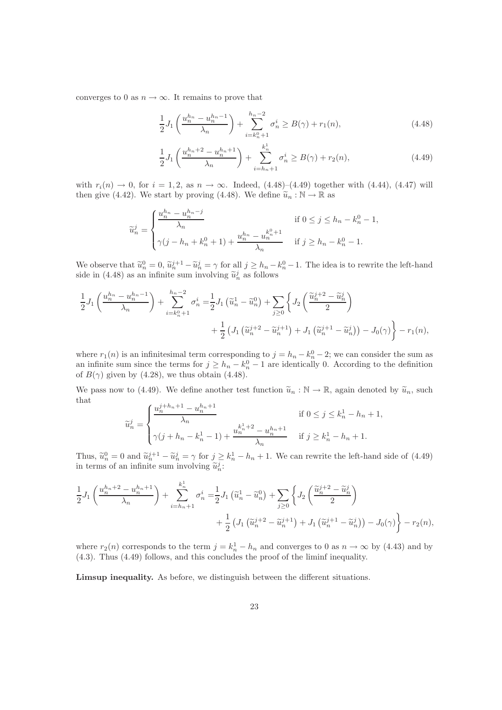converges to 0 as  $n \to \infty$ . It remains to prove that

$$
\frac{1}{2}J_1\left(\frac{u_n^{h_n} - u_n^{h_n - 1}}{\lambda_n}\right) + \sum_{i = k_n^0 + 1}^{h_n - 2} \sigma_n^i \ge B(\gamma) + r_1(n),\tag{4.48}
$$

$$
\frac{1}{2}J_1\left(\frac{u_n^{h_n+2} - u_n^{h_n+1}}{\lambda_n}\right) + \sum_{i=h_n+1}^{k_n^1} \sigma_n^i \ge B(\gamma) + r_2(n),\tag{4.49}
$$

with  $r_i(n) \to 0$ , for  $i = 1, 2$ , as  $n \to \infty$ . Indeed, (4.48)–(4.49) together with (4.44), (4.47) will then give (4.42). We start by proving (4.48). We define  $\widetilde{u}_n : \mathbb{N} \to \mathbb{R}$  as

$$
\widetilde{u}_n^j = \begin{cases}\n\frac{u_n^{h_n} - u_n^{h_n - j}}{\lambda_n} & \text{if } 0 \le j \le h_n - k_n^0 - 1, \\
\gamma(j - h_n + k_n^0 + 1) + \frac{u_n^{h_n} - u_n^{k_n^0 + 1}}{\lambda_n} & \text{if } j \ge h_n - k_n^0 - 1.\n\end{cases}
$$

We observe that  $\tilde{u}_n^0 = 0$ ,  $\tilde{u}_n^{j+1} - \tilde{u}_n^j = \gamma$  for all  $j \geq h_n - k_n^0 - 1$ . The idea is to rewrite the left-hand side in (4.48) as an infinite sum involving  $\tilde{u}_n^j$  as follows

$$
\frac{1}{2}J_1\left(\frac{u_n^{h_n} - u_n^{h_n - 1}}{\lambda_n}\right) + \sum_{i = k_n^0 + 1}^{h_n - 2} \sigma_n^i = \frac{1}{2}J_1\left(\tilde{u}_n^1 - \tilde{u}_n^0\right) + \sum_{j \ge 0} \left\{J_2\left(\frac{\tilde{u}_n^{j+2} - \tilde{u}_n^j}{2}\right) + \frac{1}{2}\left(J_1\left(\tilde{u}_n^{j+2} - \tilde{u}_n^{j+1}\right) + J_1\left(\tilde{u}_n^{j+1} - \tilde{u}_n^j\right)\right) - J_0(\gamma)\right\} - r_1(n),
$$

where  $r_1(n)$  is an infinitesimal term corresponding to  $j = h_n - k_n^0 - 2$ ; we can consider the sum as an infinite sum since the terms for  $j \geq h_n - k_n^0 - 1$  are identically 0. According to the definition of  $B(\gamma)$  given by (4.28), we thus obtain (4.48).

We pass now to (4.49). We define another test function  $\tilde{u}_n : \mathbb{N} \to \mathbb{R}$ , again denoted by  $\tilde{u}_n$ , such that  $h_{+1}$ 

$$
\tilde{u}_n^j = \begin{cases}\n\frac{u_n^{j+h_n+1} - u_n^{h_n+1}}{\lambda_n} & \text{if } 0 \le j \le k_n^1 - h_n + 1, \\
\gamma(j+h_n - k_n^1 - 1) + \frac{u_n^{k_n^1 + 2} - u_n^{h_n + 1}}{\lambda_n} & \text{if } j \ge k_n^1 - h_n + 1.\n\end{cases}
$$

Thus,  $\tilde{u}_n^0 = 0$  and  $\tilde{u}_n^{j+1} - \tilde{u}_n^j = \gamma$  for  $j \geq k_n^1 - h_n + 1$ . We can rewrite the left-hand side of (4.49) in terms of an infinite sum involving  $\tilde{u}_n^j$ :

$$
\frac{1}{2}J_1\left(\frac{u_n^{h_n+2} - u_n^{h_n+1}}{\lambda_n}\right) + \sum_{i=h_n+1}^{k_n^1} \sigma_n^i = \frac{1}{2}J_1\left(\tilde{u}_n^1 - \tilde{u}_n^0\right) + \sum_{j\geq 0} \left\{J_2\left(\frac{\tilde{u}_n^{j+2} - \tilde{u}_n^j}{2}\right) + \frac{1}{2}\left(J_1\left(\tilde{u}_n^{j+2} - \tilde{u}_n^{j+1}\right) + J_1\left(\tilde{u}_n^{j+1} - \tilde{u}_n^j\right)\right) - J_0(\gamma)\right\} - r_2(n),
$$

where  $r_2(n)$  corresponds to the term  $j = k_n^1 - h_n$  and converges to 0 as  $n \to \infty$  by (4.43) and by (4.3). Thus (4.49) follows, and this concludes the proof of the liminf inequality.

Limsup inequality. As before, we distinguish between the different situations.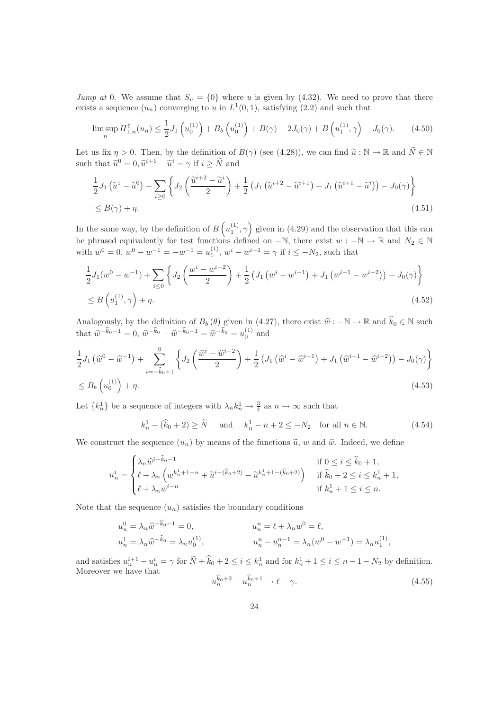Jump at 0. We assume that  $S_u = \{0\}$  where u is given by (4.32). We need to prove that there exists a sequence  $(u_n)$  converging to u in  $L^1(0,1)$ , satisfying  $(2.2)$  and such that

$$
\limsup_{n} H_{1,n}^{\ell}(u_n) \le \frac{1}{2} J_1\left(u_0^{(1)}\right) + B_b\left(u_0^{(1)}\right) + B(\gamma) - 2J_0(\gamma) + B\left(u_1^{(1)}, \gamma\right) - J_0(\gamma). \tag{4.50}
$$

Let us fix  $\eta > 0$ . Then, by the definition of  $B(\gamma)$  (see (4.28)), we can find  $\tilde{u}: \mathbb{N} \to \mathbb{R}$  and  $\tilde{N} \in \mathbb{N}$ such that  $\tilde{u}^0 = 0$ ,  $\tilde{u}^{i+1} - \tilde{u}^i = \gamma$  if  $i \ge \tilde{N}$  and

$$
\frac{1}{2}J_1\left(\tilde{u}^1 - \tilde{u}^0\right) + \sum_{i\geq 0} \left\{ J_2\left(\frac{\tilde{u}^{i+2} - \tilde{u}^i}{2}\right) + \frac{1}{2} \left(J_1\left(\tilde{u}^{i+2} - \tilde{u}^{i+1}\right) + J_1\left(\tilde{u}^{i+1} - \tilde{u}^i\right)\right) - J_0(\gamma) \right\}
$$
\n
$$
\leq B(\gamma) + \eta. \tag{4.51}
$$

In the same way, by the definition of  $B\left(u_1^{(1)}, \gamma\right)$  given in (4.29) and the observation that this can be phrased equivalently for test functions defined on  $-\mathbb{N}$ , there exist  $w : -\mathbb{N} \to \mathbb{R}$  and  $N_2 \in \mathbb{N}$ with  $w^0 = 0$ ,  $w^0 - w^{-1} = -w^{-1} = u_1^{(1)}$ ,  $w^i - w^{i-1} = \gamma$  if  $i \le -N_2$ , such that

$$
\frac{1}{2}J_1(w^0 - w^{-1}) + \sum_{i \le 0} \left\{ J_2\left(\frac{w^i - w^{i-2}}{2}\right) + \frac{1}{2} \left( J_1\left(w^i - w^{i-1}\right) + J_1\left(w^{i-1} - w^{i-2}\right) \right) - J_0(\gamma) \right\}
$$
\n
$$
\le B\left(u_1^{(1)}, \gamma\right) + \eta. \tag{4.52}
$$

Analogously, by the definition of  $B_b(\theta)$  given in (4.27), there exist  $\hat{w} : -\mathbb{N} \to \mathbb{R}$  and  $\hat{k}_0 \in \mathbb{N}$  such that  $\hat{w}^{-\hat{k}_0-1} = 0$ ,  $\hat{w}^{-\hat{k}_0} - \hat{w}^{-\hat{k}_0-1} = \hat{w}^{-\hat{k}_0} = u_0^{(1)}$  and

$$
\frac{1}{2}J_{1}(\hat{w}^{0} - \hat{w}^{-1}) + \sum_{i=-\hat{k}_{0}+1}^{0} \left\{ J_{2}(\frac{\hat{w}^{i} - \hat{w}^{i-2}}{2}) + \frac{1}{2} \left( J_{1}(\hat{w}^{i} - \hat{w}^{i-1}) + J_{1}(\hat{w}^{i-1} - \hat{w}^{i-2}) \right) - J_{0}(\gamma) \right\}
$$
\n
$$
\leq B_{b}(u_{0}^{(1)}) + \eta. \tag{4.53}
$$

Let  $\{k_n^1\}$  be a sequence of integers with  $\lambda_n k_n^1 \to \frac{3}{4}$  as  $n \to \infty$  such that

$$
k_n^1 - (\hat{k}_0 + 2) \ge \tilde{N}
$$
 and  $k_n^1 - n + 2 \le -N_2$  for all  $n \in \mathbb{N}$ . (4.54)

We construct the sequence  $(u_n)$  by means of the functions  $\tilde{u}$ , w and  $\hat{w}$ . Indeed, we define

$$
u_n^i=\begin{cases} \lambda_n\widehat{w}^{i-\widehat{k}_0-1} & \text{if } 0\leq i\leq \widehat{k}_0+1,\\ \ell+\lambda_n\left(w^{k_n^1+1-n}+\widetilde{u}^{i-(\widehat{k}_0+2)}-\widetilde{u}^{k_n^1+1-(\widehat{k}_0+2)}\right) & \text{if } \widehat{k}_0+2\leq i\leq k_n^1+1,\\ \ell+\lambda_nw^{i-n} & \text{if } k_n^1+1\leq i\leq n. \end{cases}
$$

Note that the sequence  $(u_n)$  satisfies the boundary conditions

$$
u_n^0 = \lambda_n \hat{w}^{-k_0 - 1} = 0, \qquad u_n^n = \ell + \lambda_n w^0 = \ell, u_n^1 = \lambda_n \hat{w}^{-\hat{k}_0} = \lambda_n u_0^{(1)}, \qquad u_n^n - u_n^{n-1} = \lambda_n (w^0 - w^{-1}) = \lambda_n u_1^{(1)},
$$

and satisfies  $u_n^{i+1} - u_n^i = \gamma$  for  $N + k_0 + 2 \le i \le k_n^1$  and for  $k_n^1 + 1 \le i \le n - 1 - N_2$  by definition. Moreover we have that

$$
u_n^{\hat{k}_0+2} - u_n^{\hat{k}_0+1} \to \ell - \gamma.
$$
\n(4.55)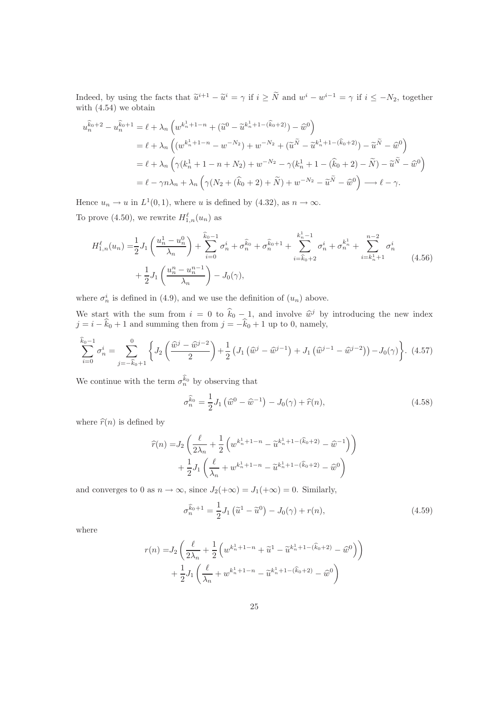Indeed, by using the facts that  $\tilde{u}^{i+1} - \tilde{u}^i = \gamma$  if  $i \geq \tilde{N}$  and  $w^i - w^{i-1} = \gamma$  if  $i \leq -N_2$ , together with  $(4.54)$  we obtain

$$
u_n^{\hat{k}_0+2} - u_n^{\hat{k}_0+1} = \ell + \lambda_n \left( w^{k_n^1 + 1 - n} + (\tilde{u}^0 - \tilde{u}^{k_n^1 + 1 - (\hat{k}_0 + 2)}) - \tilde{w}^0 \right)
$$
  
\n
$$
= \ell + \lambda_n \left( (w^{k_n^1 + 1 - n} - w^{-N_2}) + w^{-N_2} + (\tilde{u}^{\tilde{N}} - \tilde{u}^{k_n^1 + 1 - (\hat{k}_0 + 2)}) - \tilde{u}^{\tilde{N}} - \tilde{w}^0 \right)
$$
  
\n
$$
= \ell + \lambda_n \left( \gamma (k_n^1 + 1 - n + N_2) + w^{-N_2} - \gamma (k_n^1 + 1 - (\hat{k}_0 + 2) - \tilde{N}) - \tilde{u}^{\tilde{N}} - \tilde{w}^0 \right)
$$
  
\n
$$
= \ell - \gamma n \lambda_n + \lambda_n \left( \gamma (N_2 + (\hat{k}_0 + 2) + \tilde{N}) + w^{-N_2} - \tilde{u}^{\tilde{N}} - \tilde{w}^0 \right) \longrightarrow \ell - \gamma.
$$

Hence  $u_n \to u$  in  $L^1(0,1)$ , where u is defined by (4.32), as  $n \to \infty$ . To prove (4.50), we rewrite  $H_{1,n}^{\ell}(u_n)$  as

$$
H_{1,n}^{\ell}(u_n) = \frac{1}{2} J_1 \left( \frac{u_n^1 - u_n^0}{\lambda_n} \right) + \sum_{i=0}^{\widehat{k}_0 - 1} \sigma_n^i + \sigma_n^{\widehat{k}_0} + \sigma_n^{\widehat{k}_0 + 1} + \sum_{i=\widehat{k}_0 + 2}^{k_n^1 - 1} \sigma_n^i + \sigma_n^{k_n^1} + \sum_{i=k_n^1 + 1}^{n-2} \sigma_n^i
$$
  
+  $\frac{1}{2} J_1 \left( \frac{u_n^n - u_n^{n-1}}{\lambda_n} \right) - J_0(\gamma),$  (4.56)

where  $\sigma_n^i$  is defined in (4.9), and we use the definition of  $(u_n)$  above.

We start with the sum from  $i = 0$  to  $\hat{k}_0 - 1$ , and involve  $\hat{w}^j$  by introducing the new index  $j = i - k_0 + 1$  and summing then from  $j = -k_0 + 1$  up to 0, namely,

$$
\sum_{i=0}^{\widehat{k}_0-1} \sigma_n^i = \sum_{j=-\widehat{k}_0+1}^0 \left\{ J_2 \left( \frac{\widehat{w}^j - \widehat{w}^{j-2}}{2} \right) + \frac{1}{2} \left( J_1 \left( \widehat{w}^j - \widehat{w}^{j-1} \right) + J_1 \left( \widehat{w}^{j-1} - \widehat{w}^{j-2} \right) \right) - J_0(\gamma) \right\}.
$$
 (4.57)

We continue with the term  $\sigma_n^{k_0}$  by observing that

$$
\sigma_n^{\hat{k}_0} = \frac{1}{2} J_1 \left( \hat{w}^0 - \hat{w}^{-1} \right) - J_0(\gamma) + \hat{r}(n), \tag{4.58}
$$

where  $\hat{r}(n)$  is defined by

$$
\hat{r}(n) = J_2 \left( \frac{\ell}{2\lambda_n} + \frac{1}{2} \left( w^{k_n^1 + 1 - n} - \tilde{u}^{k_n^1 + 1 - (\hat{k}_0 + 2)} - \tilde{w}^{-1} \right) \right) \n+ \frac{1}{2} J_1 \left( \frac{\ell}{\lambda_n} + w^{k_n^1 + 1 - n} - \tilde{u}^{k_n^1 + 1 - (\hat{k}_0 + 2)} - \tilde{w}^0 \right)
$$

and converges to 0 as  $n \to \infty$ , since  $J_2(+\infty) = J_1(+\infty) = 0$ . Similarly,

$$
\sigma_n^{\widehat{k}_0+1} = \frac{1}{2} J_1 \left( \widetilde{u}^1 - \widetilde{u}^0 \right) - J_0(\gamma) + r(n), \tag{4.59}
$$

where

$$
r(n) = J_2 \left( \frac{\ell}{2\lambda_n} + \frac{1}{2} \left( w^{k_n^1 + 1 - n} + \tilde{u}^1 - \tilde{u}^{k_n^1 + 1 - (\hat{k}_0 + 2)} - \tilde{w}^0 \right) \right) + \frac{1}{2} J_1 \left( \frac{\ell}{\lambda_n} + w^{k_n^1 + 1 - n} - \tilde{u}^{k_n^1 + 1 - (\hat{k}_0 + 2)} - \tilde{w}^0 \right)
$$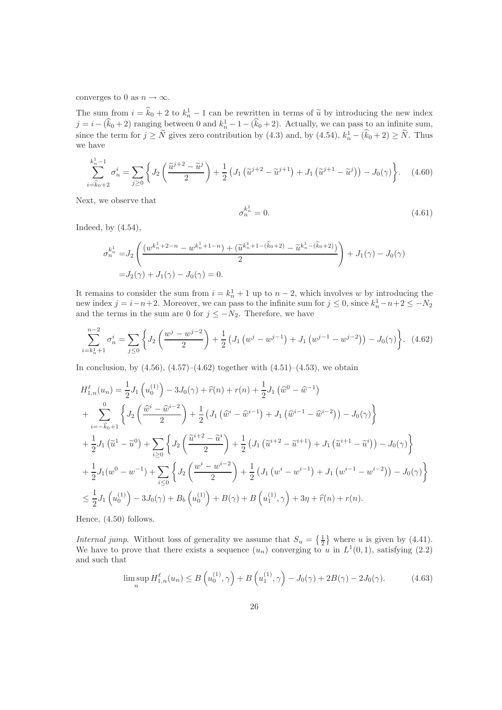converges to 0 as  $n \to \infty$ .

The sum from  $i = k_0 + 2$  to  $k_n^1 - 1$  can be rewritten in terms of  $\tilde{u}$  by introducing the new index  $j = i - (k_0 + 2)$  ranging between 0 and  $k_n^1 - 1 - (k_0 + 2)$ . Actually, we can pass to an infinite sum, since the term for  $j \ge N$  gives zero contribution by (4.3) and, by (4.54),  $k_n^1 - (\hat{k}_0 + 2) \ge N$ . Thus we have

$$
\sum_{i=\widehat{k}_0+2}^{k_n^1-1} \sigma_n^i = \sum_{j\geq 0} \left\{ J_2\left(\frac{\widetilde{u}^{j+2} - \widetilde{u}^j}{2}\right) + \frac{1}{2} \left( J_1\left(\widetilde{u}^{j+2} - \widetilde{u}^{j+1}\right) + J_1\left(\widetilde{u}^{j+1} - \widetilde{u}^j\right) \right) - J_0(\gamma) \right\}.
$$
 (4.60)

Next, we observe that

$$
\sigma_n^{k_n^1} = 0.\tag{4.61}
$$

Indeed, by (4.54),

1

$$
\sigma_n^{k_n^1} = J_2 \left( \frac{(w^{k_n^1 + 2 - n} - w^{k_n^1 + 1 - n}) + (\tilde{u}^{k_n^1 + 1 - (\hat{k}_0 + 2)} - \tilde{u}^{k_n^1 - (\hat{k}_0 + 2)})}{2} \right) + J_1(\gamma) - J_0(\gamma)
$$
  
=  $J_2(\gamma) + J_1(\gamma) - J_0(\gamma) = 0.$ 

It remains to consider the sum from  $i = k_n^1 + 1$  up to  $n-2$ , which involves w by introducing the new index  $j = i - n + 2$ . Moreover, we can pass to the infinite sum for  $j \leq 0$ , since  $k_n^1 - n + 2 \leq -N_2$ and the terms in the sum are 0 for  $j \leq -N_2$ . Therefore, we have

$$
\sum_{i=k_n^1+1}^{n-2} \sigma_n^i = \sum_{j\leq 0} \left\{ J_2\left(\frac{w^j - w^{j-2}}{2}\right) + \frac{1}{2} \left( J_1\left(w^j - w^{j-1}\right) + J_1\left(w^{j-1} - w^{j-2}\right) \right) - J_0(\gamma) \right\}.
$$
 (4.62)

In conclusion, by  $(4.56)$ ,  $(4.57)$ – $(4.62)$  together with  $(4.51)$ – $(4.53)$ , we obtain

$$
H_{1,n}^{\ell}(u_n) = \frac{1}{2}J_1(u_0^{(1)}) - 3J_0(\gamma) + \hat{r}(n) + r(n) + \frac{1}{2}J_1(\hat{w}^0 - \hat{w}^{-1})
$$
  
+ 
$$
\sum_{i=-\hat{k}_0+1}^{0} \left\{ J_2\left(\frac{\hat{w}^i - \hat{w}^{i-2}}{2}\right) + \frac{1}{2} \left( J_1(\hat{w}^i - \hat{w}^{i-1}) + J_1(\hat{w}^{i-1} - \hat{w}^{i-2}) \right) - J_0(\gamma) \right\}
$$
  
+ 
$$
\frac{1}{2}J_1(\tilde{u}^1 - \tilde{u}^0) + \sum_{i\geq 0} \left\{ J_2\left(\frac{\tilde{u}^{i+2} - \tilde{u}^i}{2}\right) + \frac{1}{2} \left( J_1(\tilde{u}^{i+2} - \tilde{u}^{i+1}) + J_1(\tilde{u}^{i+1} - \tilde{u}^i) \right) - J_0(\gamma) \right\}
$$
  
+ 
$$
\frac{1}{2}J_1(w^0 - w^{-1}) + \sum_{i\leq 0} \left\{ J_2\left(\frac{w^i - w^{i-2}}{2}\right) + \frac{1}{2} \left( J_1(w^i - w^{i-1}) + J_1(w^{i-1} - w^{i-2}) \right) - J_0(\gamma) \right\}
$$
  

$$
\leq \frac{1}{2}J_1(u_0^{(1)}) - 3J_0(\gamma) + B_b(u_0^{(1)}) + B(\gamma) + B(u_1^{(1)}, \gamma) + 3\eta + \hat{r}(n) + r(n).
$$

Hence, (4.50) follows.

Internal jump. Without loss of generality we assume that  $S_u = \{\frac{1}{2}\}\$  where u is given by (4.41). We have to prove that there exists a sequence  $(u_n)$  converging to u in  $L^1(0,1)$ , satisfying (2.2) and such that

$$
\limsup_{n} H_{1,n}^{\ell}(u_n) \le B\left(u_0^{(1)}, \gamma\right) + B\left(u_1^{(1)}, \gamma\right) - J_0(\gamma) + 2B(\gamma) - 2J_0(\gamma). \tag{4.63}
$$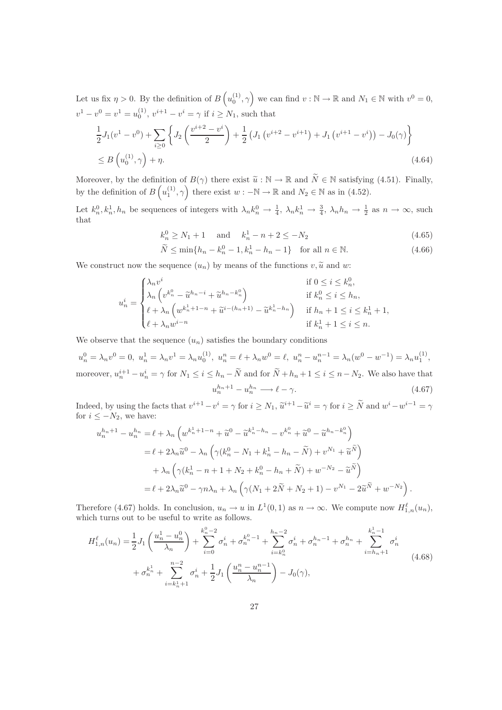Let us fix  $\eta > 0$ . By the definition of  $B\left(u_0^{(1)}, \gamma\right)$  we can find  $v : \mathbb{N} \to \mathbb{R}$  and  $N_1 \in \mathbb{N}$  with  $v^0 = 0$ ,  $v^1 - v^0 = v^1 = u_0^{(1)}$ ,  $v^{i+1} - v^i = \gamma$  if  $i \ge N_1$ , such that

$$
\frac{1}{2}J_1(v^1 - v^0) + \sum_{i \ge 0} \left\{ J_2\left(\frac{v^{i+2} - v^i}{2}\right) + \frac{1}{2} \left( J_1\left(v^{i+2} - v^{i+1}\right) + J_1\left(v^{i+1} - v^i\right) \right) - J_0(\gamma) \right\}
$$
\n
$$
\le B\left(u_0^{(1)}, \gamma\right) + \eta. \tag{4.64}
$$

Moreover, by the definition of  $B(\gamma)$  there exist  $\tilde{u}: \mathbb{N} \to \mathbb{R}$  and  $\tilde{N} \in \mathbb{N}$  satisfying (4.51). Finally, by the definition of  $B\left(u_1^{(1)}, \gamma\right)$  there exist  $w : -\mathbb{N} \to \mathbb{R}$  and  $N_2 \in \mathbb{N}$  as in (4.52).

Let  $k_n^0, k_n^1, h_n$  be sequences of integers with  $\lambda_n k_n^0 \to \frac{1}{4}$ ,  $\lambda_n k_n^1 \to \frac{3}{4}$ ,  $\lambda_n h_n \to \frac{1}{2}$  as  $n \to \infty$ , such that

$$
k_n^0 \ge N_1 + 1 \quad \text{and} \quad k_n^1 - n + 2 \le -N_2 \tag{4.65}
$$

$$
\widetilde{N} \le \min\{h_n - k_n^0 - 1, k_n^1 - h_n - 1\} \quad \text{for all } n \in \mathbb{N}.
$$
\n(4.66)

We construct now the sequence  $(u_n)$  by means of the functions  $v, \tilde{u}$  and w:

$$
u_n^i = \begin{cases} \lambda_n v^i & \text{if } 0 \le i \le k_n^0, \\ \lambda_n \left( v^{k_n^0} - \tilde{u}^{h_n - i} + \tilde{u}^{h_n - k_n^0} \right) & \text{if } k_n^0 \le i \le h_n, \\ \ell + \lambda_n \left( w^{k_n^1 + 1 - n} + \tilde{u}^{i - (h_n + 1)} - \tilde{u}^{k_n^1 - h_n} \right) & \text{if } h_n + 1 \le i \le k_n^1 + 1, \\ \ell + \lambda_n w^{i - n} & \text{if } k_n^1 + 1 \le i \le n. \end{cases}
$$

We observe that the sequence  $(u_n)$  satisfies the boundary conditions

$$
u_n^0 = \lambda_n v^0 = 0, \ u_n^1 = \lambda_n v^1 = \lambda_n u_0^{(1)}, \ u_n^n = \ell + \lambda_n w^0 = \ell, \ u_n^n - u_n^{n-1} = \lambda_n (w^0 - w^{-1}) = \lambda_n u_1^{(1)},
$$
  
moreover,  $u_n^{i+1} - u_n^i = \gamma$  for  $N_1 \le i \le h_n - \widetilde{N}$  and for  $\widetilde{N} + h_n + 1 \le i \le n - N_2$ . We also have that  

$$
u_n^{h_n+1} - u_n^{h_n} \longrightarrow \ell - \gamma.
$$
 (4.67)

Indeed, by using the facts that  $v^{i+1} - v^i = \gamma$  for  $i \ge N_1$ ,  $\tilde{u}^{i+1} - \tilde{u}^i = \gamma$  for  $i \ge \tilde{N}$  and  $w^i - w^{i-1} = \gamma$ for  $i \leq -N_2$ , we have:

$$
u_n^{h_n+1} - u_n^{h_n} = \ell + \lambda_n \left( w^{k_n^1 + 1 - n} + \tilde{u}^0 - \tilde{u}^{k_n^1 - h_n} - v^{k_n^0} + \tilde{u}^0 - \tilde{u}^{h_n - k_n^0} \right)
$$
  

$$
= \ell + 2\lambda_n \tilde{u}^0 - \lambda_n \left( \gamma (k_n^0 - N_1 + k_n^1 - h_n - \tilde{N}) + v^{N_1} + \tilde{u}^{\tilde{N}} \right)
$$
  

$$
+ \lambda_n \left( \gamma (k_n^1 - n + 1 + N_2 + k_n^0 - h_n + \tilde{N}) + w^{-N_2} - \tilde{u}^{\tilde{N}} \right)
$$
  

$$
= \ell + 2\lambda_n \tilde{u}^0 - \gamma n \lambda_n + \lambda_n \left( \gamma (N_1 + 2\tilde{N} + N_2 + 1) - v^{N_1} - 2\tilde{u}^{\tilde{N}} + w^{-N_2} \right).
$$

Therefore (4.67) holds. In conclusion,  $u_n \to u$  in  $L^1(0,1)$  as  $n \to \infty$ . We compute now  $H_{1,n}^{\ell}(u_n)$ , which turns out to be useful to write as follows.

$$
H_{1,n}^{\ell}(u_n) = \frac{1}{2} J_1 \left( \frac{u_n^1 - u_n^0}{\lambda_n} \right) + \sum_{i=0}^{k_n^0 - 2} \sigma_n^i + \sigma_n^{k_n^0 - 1} + \sum_{i=k_n^0}^{h_n - 2} \sigma_n^i + \sigma_n^{h_n - 1} + \sigma_n^{h_n} + \sum_{i=h_n+1}^{k_n^1 - 1} \sigma_n^i
$$
  
+  $\sigma_n^{k_n^1} + \sum_{i=k_n^1+1}^{n-2} \sigma_n^i + \frac{1}{2} J_1 \left( \frac{u_n^n - u_n^{n-1}}{\lambda_n} \right) - J_0(\gamma),$  (4.68)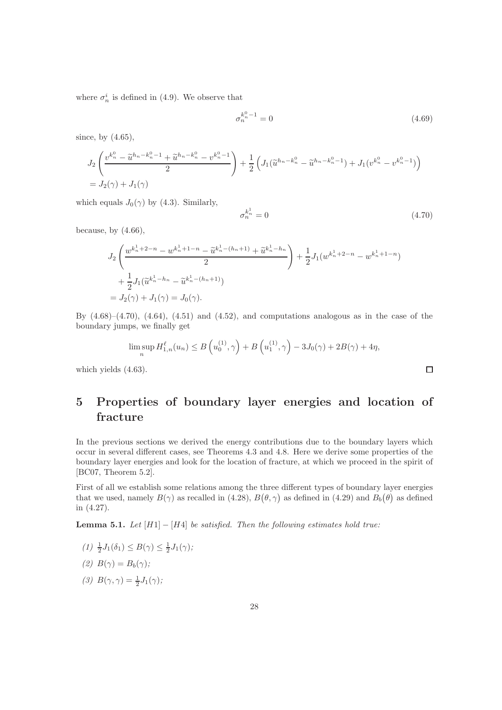where  $\sigma_n^i$  is defined in (4.9). We observe that

$$
\sigma_n^{k_n^0 - 1} = 0 \tag{4.69}
$$

since, by  $(4.65)$ ,

$$
J_2\left(\frac{v^{k_n^0} - \tilde{u}^{h_n - k_n^0 - 1} + \tilde{u}^{h_n - k_n^0} - v^{k_n^0 - 1}}{2}\right) + \frac{1}{2}\left(J_1(\tilde{u}^{h_n - k_n^0} - \tilde{u}^{h_n - k_n^0 - 1}) + J_1(v^{k_n^0} - v^{k_n^0 - 1})\right)
$$
  
=  $J_2(\gamma) + J_1(\gamma)$ 

which equals  $J_0(\gamma)$  by (4.3). Similarly,

$$
\sigma_n^{k_n^1} = 0 \tag{4.70}
$$

 $\Box$ 

because, by  $(4.66)$ ,

$$
J_2\left(\frac{w^{k_n^1+2-n} - w^{k_n^1+1-n} - \tilde{u}^{k_n^1-(h_n+1)} + \tilde{u}^{k_n^1-h_n}}{2}\right) + \frac{1}{2}J_1(w^{k_n^1+2-n} - w^{k_n^1+1-n})
$$
  
+  $\frac{1}{2}J_1(\tilde{u}^{k_n^1-h_n} - \tilde{u}^{k_n^1-(h_n+1)})$   
=  $J_2(\gamma) + J_1(\gamma) = J_0(\gamma)$ .

By  $(4.68)$ – $(4.70)$ ,  $(4.64)$ ,  $(4.51)$  and  $(4.52)$ , and computations analogous as in the case of the boundary jumps, we finally get

$$
\limsup_{n} H_{1,n}^{\ell}(u_n) \le B\left(u_0^{(1)}, \gamma\right) + B\left(u_1^{(1)}, \gamma\right) - 3J_0(\gamma) + 2B(\gamma) + 4\eta,
$$

which yields (4.63).

# 5 Properties of boundary layer energies and location of fracture

In the previous sections we derived the energy contributions due to the boundary layers which occur in several different cases, see Theorems 4.3 and 4.8. Here we derive some properties of the boundary layer energies and look for the location of fracture, at which we proceed in the spirit of [BC07, Theorem 5.2].

First of all we establish some relations among the three different types of boundary layer energies that we used, namely  $B(\gamma)$  as recalled in (4.28),  $B(\theta, \gamma)$  as defined in (4.29) and  $B_b(\theta)$  as defined in (4.27).

**Lemma 5.1.** Let  $[H1] - [H4]$  be satisfied. Then the following estimates hold true:

 $(1) \frac{1}{2}J_1(\delta_1) \leq B(\gamma) \leq \frac{1}{2}J_1(\gamma);$ 

$$
(2) B(\gamma) = B_b(\gamma);
$$

(3)  $B(\gamma, \gamma) = \frac{1}{2}J_1(\gamma);$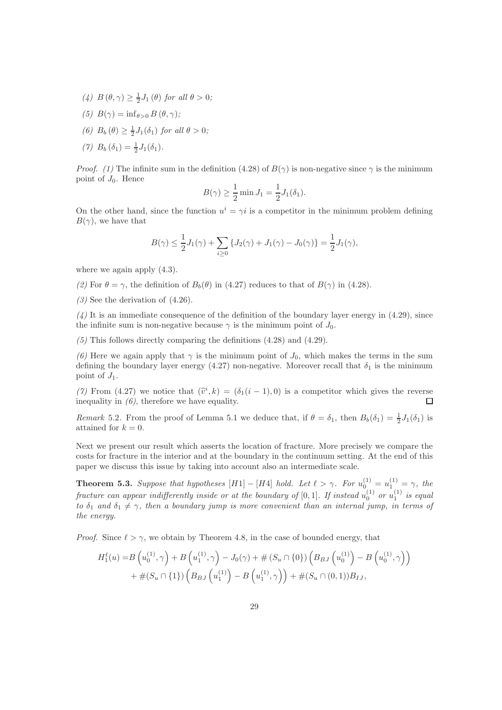- (4)  $B(\theta, \gamma) \geq \frac{1}{2}J_1(\theta)$  for all  $\theta > 0$ ;
- (5)  $B(\gamma) = \inf_{\theta > 0} B(\theta, \gamma);$
- (6)  $B_b(\theta) \geq \frac{1}{2}J_1(\delta_1)$  for all  $\theta > 0$ ;
- (7)  $B_b(\delta_1) = \frac{1}{2}J_1(\delta_1)$ .

*Proof.* (1) The infinite sum in the definition (4.28) of  $B(\gamma)$  is non-negative since  $\gamma$  is the minimum point of  $J_0$ . Hence

$$
B(\gamma) \ge \frac{1}{2} \min J_1 = \frac{1}{2} J_1(\delta_1).
$$

On the other hand, since the function  $u^i = \gamma i$  is a competitor in the minimum problem defining  $B(\gamma)$ , we have that

$$
B(\gamma) \le \frac{1}{2}J_1(\gamma) + \sum_{i \ge 0} \{ J_2(\gamma) + J_1(\gamma) - J_0(\gamma) \} = \frac{1}{2}J_1(\gamma),
$$

where we again apply  $(4.3)$ .

(2) For  $\theta = \gamma$ , the definition of  $B_b(\theta)$  in (4.27) reduces to that of  $B(\gamma)$  in (4.28).

 $(3)$  See the derivation of  $(4.26)$ .

 $(4)$  It is an immediate consequence of the definition of the boundary layer energy in  $(4.29)$ , since the infinite sum is non-negative because  $\gamma$  is the minimum point of  $J_0$ .

 $(5)$  This follows directly comparing the definitions  $(4.28)$  and  $(4.29)$ .

(6) Here we again apply that  $\gamma$  is the minimum point of  $J_0$ , which makes the terms in the sum defining the boundary layer energy (4.27) non-negative. Moreover recall that  $\delta_1$  is the minimum point of  $J_1$ .

(7) From (4.27) we notice that  $(\hat{v}^i, k) = (\delta_1(i-1), 0)$  is a competitor which gives the reverse inequality in  $(6)$ , therefore we have equality.

Remark 5.2. From the proof of Lemma 5.1 we deduce that, if  $\theta = \delta_1$ , then  $B_b(\delta_1) = \frac{1}{2}J_1(\delta_1)$  is attained for  $k = 0$ .

Next we present our result which asserts the location of fracture. More precisely we compare the costs for fracture in the interior and at the boundary in the continuum setting. At the end of this paper we discuss this issue by taking into account also an intermediate scale.

**Theorem 5.3.** Suppose that hypotheses  $[H1] - [H4]$  hold. Let  $\ell > \gamma$ . For  $u_0^{(1)} = u_1^{(1)} = \gamma$ , the fracture can appear indifferently inside or at the boundary of  $[0,1]$ . If instead  $u_0^{(1)}$  or  $u_1^{(1)}$  is equal to  $\delta_1$  and  $\delta_1 \neq \gamma$ , then a boundary jump is more convenient than an internal jump, in terms of the energy.

*Proof.* Since  $\ell > \gamma$ , we obtain by Theorem 4.8, in the case of bounded energy, that

$$
H_1^{\ell}(u) = B\left(u_0^{(1)}, \gamma\right) + B\left(u_1^{(1)}, \gamma\right) - J_0(\gamma) + \#(S_u \cap \{0\})\left(B_{BJ}\left(u_0^{(1)}\right) - B\left(u_0^{(1)}, \gamma\right)\right) + \#(S_u \cap \{1\})\left(B_{BJ}\left(u_1^{(1)}\right) - B\left(u_1^{(1)}, \gamma\right)\right) + \#(S_u \cap (0, 1))B_{IJ},
$$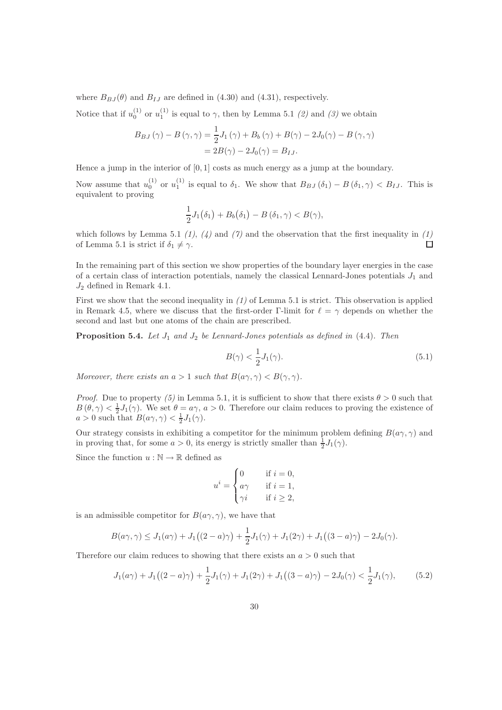where  $B_{B,I}(\theta)$  and  $B_{IJ}$  are defined in (4.30) and (4.31), respectively.

Notice that if  $u_0^{(1)}$  or  $u_1^{(1)}$  is equal to  $\gamma$ , then by Lemma 5.1 (2) and (3) we obtain

$$
B_{BJ}(\gamma) - B(\gamma, \gamma) = \frac{1}{2}J_1(\gamma) + B_b(\gamma) + B(\gamma) - 2J_0(\gamma) - B(\gamma, \gamma)
$$
  
= 
$$
2B(\gamma) - 2J_0(\gamma) = B_{IJ}.
$$

Hence a jump in the interior of [0, 1] costs as much energy as a jump at the boundary.

Now assume that  $u_0^{(1)}$  or  $u_1^{(1)}$  is equal to  $\delta_1$ . We show that  $B_{BJ}(\delta_1) - B(\delta_1, \gamma) < B_{IJ}$ . This is equivalent to proving

$$
\frac{1}{2}J_1(\delta_1)+B_b(\delta_1)-B(\delta_1,\gamma)
$$

which follows by Lemma 5.1 (1), (4) and (7) and the observation that the first inequality in (1) of Lemma 5.1 is strict if  $\delta_1 \neq \gamma$ .  $\Box$ 

In the remaining part of this section we show properties of the boundary layer energies in the case of a certain class of interaction potentials, namely the classical Lennard-Jones potentials  $J_1$  and  $J_2$  defined in Remark 4.1.

First we show that the second inequality in  $(1)$  of Lemma 5.1 is strict. This observation is applied in Remark 4.5, where we discuss that the first-order Γ-limit for  $\ell = \gamma$  depends on whether the second and last but one atoms of the chain are prescribed.

**Proposition 5.4.** Let  $J_1$  and  $J_2$  be Lennard-Jones potentials as defined in (4.4). Then

$$
B(\gamma) < \frac{1}{2}J_1(\gamma). \tag{5.1}
$$

Moreover, there exists an  $a > 1$  such that  $B(a\gamma, \gamma) < B(\gamma, \gamma)$ .

*Proof.* Due to property (5) in Lemma 5.1, it is sufficient to show that there exists  $\theta > 0$  such that  $B(\theta, \gamma) < \frac{1}{2}J_1(\gamma)$ . We set  $\theta = a\gamma$ ,  $a > 0$ . Therefore our claim reduces to proving the existence of  $a > 0$  such that  $B(a\gamma, \gamma) < \frac{1}{2}J_1(\gamma)$ .

Our strategy consists in exhibiting a competitor for the minimum problem defining  $B(a\gamma, \gamma)$  and in proving that, for some  $a > 0$ , its energy is strictly smaller than  $\frac{1}{2}J_1(\gamma)$ .

Since the function  $u : \mathbb{N} \to \mathbb{R}$  defined as

$$
u^{i} = \begin{cases} 0 & \text{if } i = 0, \\ a\gamma & \text{if } i = 1, \\ \gamma i & \text{if } i \geq 2, \end{cases}
$$

is an admissible competitor for  $B(a\gamma, \gamma)$ , we have that

$$
B(a\gamma, \gamma) \le J_1(a\gamma) + J_1((2-a)\gamma) + \frac{1}{2}J_1(\gamma) + J_1(2\gamma) + J_1((3-a)\gamma) - 2J_0(\gamma).
$$

Therefore our claim reduces to showing that there exists an  $a > 0$  such that

$$
J_1(a\gamma) + J_1((2-a)\gamma) + \frac{1}{2}J_1(\gamma) + J_1(2\gamma) + J_1((3-a)\gamma) - 2J_0(\gamma) < \frac{1}{2}J_1(\gamma),\tag{5.2}
$$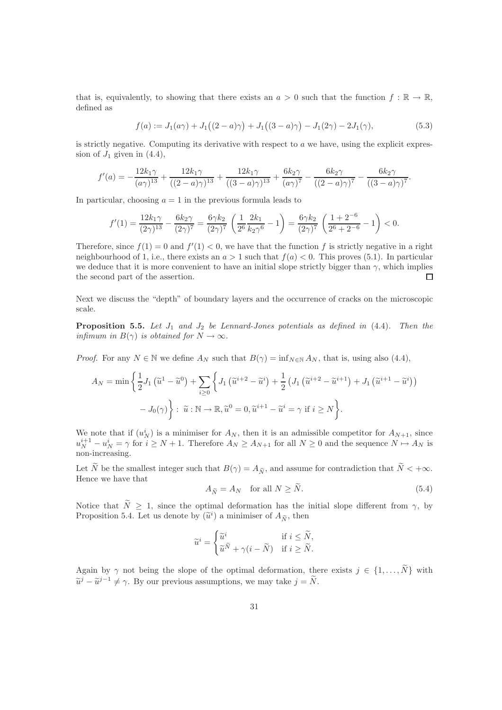that is, equivalently, to showing that there exists an  $a > 0$  such that the function  $f : \mathbb{R} \to \mathbb{R}$ , defined as

$$
f(a) := J_1(a\gamma) + J_1((2 - a)\gamma) + J_1((3 - a)\gamma) - J_1(2\gamma) - 2J_1(\gamma),
$$
\n(5.3)

is strictly negative. Computing its derivative with respect to  $a$  we have, using the explicit expression of  $J_1$  given in  $(4.4)$ ,

$$
f'(a) = -\frac{12k_1\gamma}{(a\gamma)^{13}} + \frac{12k_1\gamma}{((2-a)\gamma)^{13}} + \frac{12k_1\gamma}{((3-a)\gamma)^{13}} + \frac{6k_2\gamma}{(a\gamma)^7} - \frac{6k_2\gamma}{((2-a)\gamma)^7} - \frac{6k_2\gamma}{((3-a)\gamma)^7}.
$$

In particular, choosing  $a = 1$  in the previous formula leads to

$$
f'(1) = \frac{12k_1\gamma}{(2\gamma)^{13}} - \frac{6k_2\gamma}{(2\gamma)^7} = \frac{6\gamma k_2}{(2\gamma)^7} \left(\frac{1}{2^6} \frac{2k_1}{k_2\gamma^6} - 1\right) = \frac{6\gamma k_2}{(2\gamma)^7} \left(\frac{1+2^{-6}}{2^6+2^{-6}} - 1\right) < 0.
$$

Therefore, since  $f(1) = 0$  and  $f'(1) < 0$ , we have that the function f is strictly negative in a right neighbourhood of 1, i.e., there exists an  $a > 1$  such that  $f(a) < 0$ . This proves (5.1). In particular we deduce that it is more convenient to have an initial slope strictly bigger than  $\gamma$ , which implies the second part of the assertion.  $\Box$ 

Next we discuss the "depth" of boundary layers and the occurrence of cracks on the microscopic scale.

**Proposition 5.5.** Let  $J_1$  and  $J_2$  be Lennard-Jones potentials as defined in  $(4.4)$ . Then the infimum in  $B(\gamma)$  is obtained for  $N \to \infty$ .

*Proof.* For any  $N \in \mathbb{N}$  we define  $A_N$  such that  $B(\gamma) = \inf_{N \in \mathbb{N}} A_N$ , that is, using also (4.4),

$$
A_N = \min\left\{\frac{1}{2}J_1\left(\tilde{u}^1 - \tilde{u}^0\right) + \sum_{i\geq 0}\left\{J_1\left(\tilde{u}^{i+2} - \tilde{u}^i\right) + \frac{1}{2}\left(J_1\left(\tilde{u}^{i+2} - \tilde{u}^{i+1}\right) + J_1\left(\tilde{u}^{i+1} - \tilde{u}^i\right)\right) - J_0(\gamma)\right\} : \tilde{u} : \mathbb{N} \to \mathbb{R}, \tilde{u}^0 = 0, \tilde{u}^{i+1} - \tilde{u}^i = \gamma \text{ if } i \geq N\right\}.
$$

We note that if  $(u_N^i)$  is a minimiser for  $A_N$ , then it is an admissible competitor for  $A_{N+1}$ , since  $u_N^{i+1} - u_N^i = \gamma$  for  $i \ge N+1$ . Therefore  $A_N \ge A_{N+1}$  for all  $N \ge 0$  and the sequence  $N \mapsto A_N$  is non-increasing.

Let  $\widetilde{N}$  be the smallest integer such that  $B(\gamma) = A_{\widetilde{N}}$ , and assume for contradiction that  $\widetilde{N} < +\infty$ . Hence we have that

$$
A_{\widetilde{N}} = A_N \quad \text{for all } N \ge \widetilde{N}.\tag{5.4}
$$

Notice that  $\tilde{N} \geq 1$ , since the optimal deformation has the initial slope different from  $\gamma$ , by Proposition 5.4. Let us denote by  $(\tilde{u}^i)$  a minimiser of  $A_{\tilde{N}}$ , then

$$
\widetilde{u}^i = \begin{cases} \widetilde{u}^i & \text{if } i \leq \widetilde{N}, \\ \widetilde{u}^{\widetilde{N}} + \gamma(i - \widetilde{N}) & \text{if } i \geq \widetilde{N}. \end{cases}
$$

Again by  $\gamma$  not being the slope of the optimal deformation, there exists  $j \in \{1, ..., \tilde{N}\}\$  with  $\tilde{u}^j - \tilde{u}^{j-1} \neq \gamma$ . By our previous assumptions, we may take  $j = \tilde{N}$ .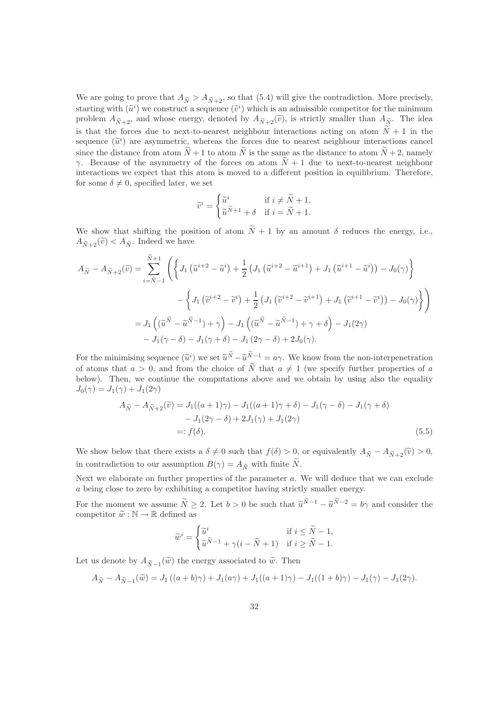We are going to prove that  $A_{\tilde{N}} > A_{\tilde{N}+2}$ , so that (5.4) will give the contradiction. More precisely, starting with  $(\tilde{u}^i)$  we construct a sequence  $(\tilde{v}^i)$  which is an admissible competitor for the minimum<br>number of the minimum starting of the state of the minimum starting of the state of the state of the state of problem  $A_{\tilde{N}+2}$ , and whose energy, denoted by  $A_{\tilde{N}+2}(\tilde{v})$ , is strictly smaller than  $A_{\tilde{N}}$ . The idea is that the forces due to next-to-nearest neighbour interactions acting on atom  $\tilde{N}+1$  in the sequence  $(\tilde{u}^i)$  are asymmetric, whereas the forces due to nearest neighbour interactions cancel since the distance from atom  $\tilde{N}+1$  to atom  $\tilde{N}$  is the same as the distance to atom  $\tilde{N}+2$ , namely γ. Because of the asymmetry of the forces on atom  $\tilde{N}+1$  due to next-to-nearest neighbour interactions we expect that this atom is moved to a different position in equilibrium. Therefore, for some  $\delta \neq 0$ , specified later, we set

$$
\widetilde{v}^i = \begin{cases} \widetilde{u}^i & \text{if } i \neq \widetilde{N} + 1, \\ \widetilde{u}^{\widetilde{N}+1} + \delta & \text{if } i = \widetilde{N} + 1. \end{cases}
$$

We show that shifting the position of atom  $\widetilde{N}+1$  by an amount  $\delta$  reduces the energy, i.e.,  $A_{\widetilde{N}+2}(\widetilde{v}) < A_{\widetilde{N}}$ . Indeed we have

$$
A_{\widetilde{N}} - A_{\widetilde{N}+2}(\widetilde{v}) = \sum_{i=\widetilde{N}-1}^{\widetilde{N}+1} \left( \left\{ J_1\left(\widetilde{u}^{i+2} - \widetilde{u}^i\right) + \frac{1}{2} \left( J_1\left(\widetilde{u}^{i+2} - \widetilde{u}^{i+1}\right) + J_1\left(\widetilde{u}^{i+1} - \widetilde{u}^i\right) \right) - J_0(\gamma) \right\} - \left\{ J_1\left(\widetilde{v}^{i+2} - \widetilde{v}^i\right) + \frac{1}{2} \left( J_1\left(\widetilde{v}^{i+2} - \widetilde{v}^{i+1}\right) + J_1\left(\widetilde{v}^{i+1} - \widetilde{v}^i\right) \right) - J_0(\gamma) \right\} \right) = J_1\left( (\widetilde{u}^{\widetilde{N}} - \widetilde{u}^{\widetilde{N}-1}) + \gamma \right) - J_1\left( (\widetilde{u}^{\widetilde{N}} - \widetilde{u}^{\widetilde{N}-1}) + \gamma + \delta \right) - J_1(2\gamma) - J_1(\gamma - \delta) - J_1(\gamma + \delta) - J_1(2\gamma - \delta) + 2J_0(\gamma).
$$

For the minimising sequence  $(\tilde{u}^i)$  we set  $\tilde{u}^N - \tilde{u}^{N-1} = a\gamma$ . We know from the non-interpenetration of atoms that  $a > 0$ , and from the choice of  $\tilde{N}$  that  $a \neq 1$  (we specify further properties of a below). Then, we continue the computations above and we obtain by using also the equality  $J_0(\gamma) = J_1(\gamma) + J_1(2\gamma)$ 

$$
A_{\tilde{N}} - A_{\tilde{N}+2}(\tilde{v}) = J_1((a+1)\gamma) - J_1((a+1)\gamma + \delta) - J_1(\gamma - \delta) - J_1(\gamma + \delta)
$$
  

$$
- J_1(2\gamma - \delta) + 2J_1(\gamma) + J_1(2\gamma)
$$
  

$$
=: f(\delta).
$$
 (5.5)

We show below that there exists a  $\delta \neq 0$  such that  $f(\delta) > 0$ , or equivalently  $A_{\widetilde{N}} - A_{\widetilde{N}+2}(\widetilde{v}) > 0$ , in contradiction to our assumption  $B(\gamma) = A_{\widetilde{N}}$  with finite  $\widetilde{N}$ .

Next we elaborate on further properties of the parameter  $a$ . We will deduce that we can exclude a being close to zero by exhibiting a competitor having strictly smaller energy.

For the moment we assume  $\tilde{N} \geq 2$ . Let  $b > 0$  be such that  $\tilde{u}^{N-1} - \tilde{u}^{N-2} = b\gamma$  and consider the competitor  $\widetilde{w}: \mathbb{N} \to \mathbb{R}$  defined as

$$
\widetilde{w}^i = \begin{cases} \widetilde{u}^i & \text{if } i \leq \widetilde{N}-1,\\ \widetilde{u}^{\widetilde{N}-1} + \gamma(i-\widetilde{N}+1) & \text{if } i \geq \widetilde{N}-1. \end{cases}
$$

Let us denote by  $A_{\widetilde{N}-1}(\widetilde{w})$  the energy associated to  $\widetilde{w}$ . Then

$$
A_{\widetilde{N}} - A_{\widetilde{N}-1}(\widetilde{w}) = J_1((a+b)\gamma) + J_1(a\gamma) + J_1((a+1)\gamma) - J_1((1+b)\gamma) - J_1(\gamma) - J_1(2\gamma).
$$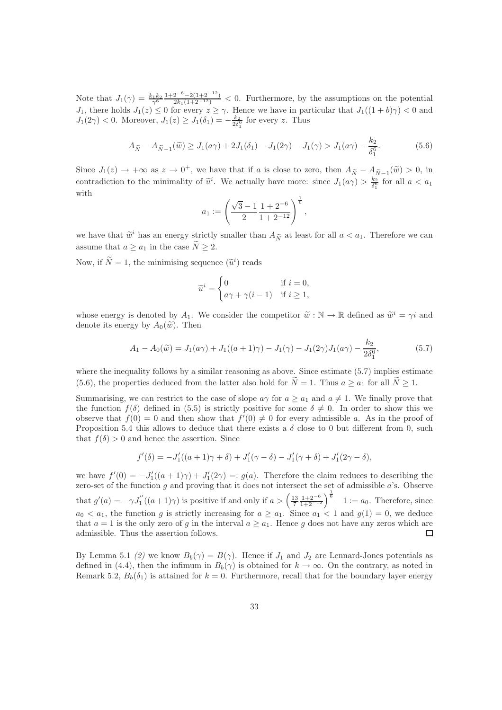Note that  $J_1(\gamma) = \frac{k_1 k_2}{\gamma^6}$  $\frac{1+2^{-6}-2(1+2^{-12})}{2k_1(1+2^{-12})} < 0$ . Furthermore, by the assumptions on the potential  $J_1$ , there holds  $J_1(z) \leq 0$  for every  $z \geq \gamma$ . Hence we have in particular that  $J_1((1+b)\gamma) < 0$  and  $J_1(2\gamma) < 0$ . Moreover,  $J_1(z) \geq J_1(\delta_1) = -\frac{k_2}{2\delta_1^6}$  for every z. Thus

$$
A_{\widetilde{N}} - A_{\widetilde{N}-1}(\widetilde{w}) \ge J_1(a\gamma) + 2J_1(\delta_1) - J_1(2\gamma) - J_1(\gamma) > J_1(a\gamma) - \frac{k_2}{\delta_1^6}.
$$
 (5.6)

Since  $J_1(z) \to +\infty$  as  $z \to 0^+$ , we have that if a is close to zero, then  $A_{\tilde{N}} - A_{\tilde{N}-1}(\tilde{w}) > 0$ , in contradiction to the minimality of  $\tilde{u}^i$ . We actually have more: since  $J_1(a\gamma) > \frac{k_2}{\delta_1^6}$  for all  $a < a_1$ with

$$
a_1 := \left(\frac{\sqrt{3} - 1}{2} \frac{1 + 2^{-6}}{1 + 2^{-12}}\right)^{\frac{1}{6}},
$$

we have that  $\tilde{w}^i$  has an energy strictly smaller than  $A_{\tilde{N}}$  at least for all  $a < a_1$ . Therefore we can assume that  $a \ge a_1$  in the case  $\widetilde{N} \ge 2$ .

Now, if  $\tilde{N} = 1$ , the minimising sequence  $(\tilde{u}^i)$  reads

$$
\widetilde{u}^i = \begin{cases} 0 & \text{if } i = 0, \\ a\gamma + \gamma(i-1) & \text{if } i \ge 1, \end{cases}
$$

whose energy is denoted by  $A_1$ . We consider the competitor  $\tilde{w}: \mathbb{N} \to \mathbb{R}$  defined as  $\tilde{w}^i = \gamma i$  and denote its energy by  $A_0(\tilde{w})$ . Then

$$
A_1 - A_0(\tilde{w}) = J_1(a\gamma) + J_1((a+1)\gamma) - J_1(\gamma) - J_1(2\gamma)J_1(a\gamma) - \frac{k_2}{2\delta_1^6},
$$
\n(5.7)

where the inequality follows by a similar reasoning as above. Since estimate  $(5.7)$  implies estimate (5.6), the properties deduced from the latter also hold for  $\widetilde{N}=1$ . Thus  $a \ge a_1$  for all  $\widetilde{N} \ge 1$ .

Summarising, we can restrict to the case of slope  $a\gamma$  for  $a \ge a_1$  and  $a \ne 1$ . We finally prove that the function  $f(\delta)$  defined in (5.5) is strictly positive for some  $\delta \neq 0$ . In order to show this we observe that  $f(0) = 0$  and then show that  $f'(0) \neq 0$  for every admissible a. As in the proof of Proposition 5.4 this allows to deduce that there exists a  $\delta$  close to 0 but different from 0, such that  $f(\delta) > 0$  and hence the assertion. Since

$$
f'(\delta) = -J'_1((a+1)\gamma + \delta) + J'_1(\gamma - \delta) - J'_1(\gamma + \delta) + J'_1(2\gamma - \delta),
$$

we have  $f'(0) = -J'_1((a+1)\gamma) + J'_1(2\gamma) =: g(a)$ . Therefore the claim reduces to describing the zero-set of the function  $g$  and proving that it does not intersect the set of admissible  $a$ 's. Observe that  $g'(a) = -\gamma J_1''((a+1)\gamma)$  is positive if and only if  $a > \left(\frac{13}{7}\frac{1+2^{-6}}{1+2^{-12}}\right)^{\frac{1}{6}} - 1 := a_0$ . Therefore, since  $a_0 < a_1$ , the function g is strictly increasing for  $a \ge a_1$ . Since  $a_1 < 1$  and  $g(1) = 0$ , we deduce that  $a = 1$  is the only zero of g in the interval  $a \ge a_1$ . Hence g does not have any zeros which are admissible. Thus the assertion follows. admissible. Thus the assertion follows.

By Lemma 5.1 (2) we know  $B_b(\gamma) = B(\gamma)$ . Hence if  $J_1$  and  $J_2$  are Lennard-Jones potentials as defined in (4.4), then the infimum in  $B_b(\gamma)$  is obtained for  $k \to \infty$ . On the contrary, as noted in Remark 5.2,  $B_b(\delta_1)$  is attained for  $k = 0$ . Furthermore, recall that for the boundary layer energy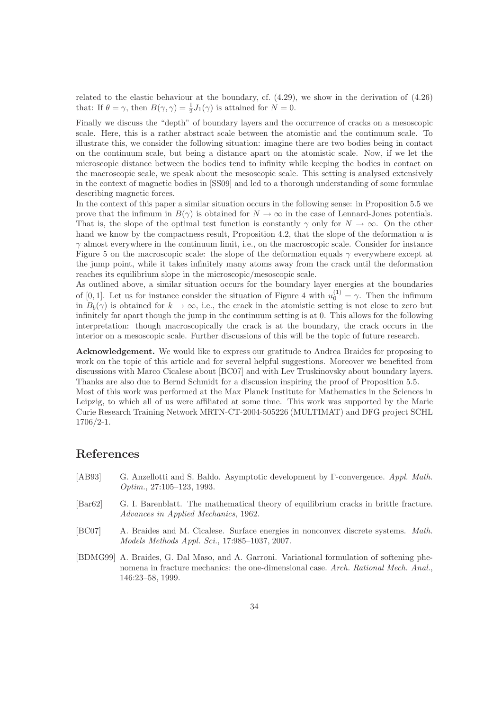related to the elastic behaviour at the boundary, cf. (4.29), we show in the derivation of (4.26) that: If  $\theta = \gamma$ , then  $B(\gamma, \gamma) = \frac{1}{2}J_1(\gamma)$  is attained for  $N = 0$ .

Finally we discuss the "depth" of boundary layers and the occurrence of cracks on a mesoscopic scale. Here, this is a rather abstract scale between the atomistic and the continuum scale. To illustrate this, we consider the following situation: imagine there are two bodies being in contact on the continuum scale, but being a distance apart on the atomistic scale. Now, if we let the microscopic distance between the bodies tend to infinity while keeping the bodies in contact on the macroscopic scale, we speak about the mesoscopic scale. This setting is analysed extensively in the context of magnetic bodies in [SS09] and led to a thorough understanding of some formulae describing magnetic forces.

In the context of this paper a similar situation occurs in the following sense: in Proposition 5.5 we prove that the infimum in  $B(\gamma)$  is obtained for  $N \to \infty$  in the case of Lennard-Jones potentials. That is, the slope of the optimal test function is constantly  $\gamma$  only for  $N \to \infty$ . On the other hand we know by the compactness result, Proposition 4.2, that the slope of the deformation  $u$  is  $\gamma$  almost everywhere in the continuum limit, i.e., on the macroscopic scale. Consider for instance Figure 5 on the macroscopic scale: the slope of the deformation equals  $\gamma$  everywhere except at the jump point, while it takes infinitely many atoms away from the crack until the deformation reaches its equilibrium slope in the microscopic/mesoscopic scale.

As outlined above, a similar situation occurs for the boundary layer energies at the boundaries of [0, 1]. Let us for instance consider the situation of Figure 4 with  $u_0^{(1)} = \gamma$ . Then the infimum in  $B_b(\gamma)$  is obtained for  $k \to \infty$ , i.e., the crack in the atomistic setting is not close to zero but infinitely far apart though the jump in the continuum setting is at 0. This allows for the following interpretation: though macroscopically the crack is at the boundary, the crack occurs in the interior on a mesoscopic scale. Further discussions of this will be the topic of future research.

Acknowledgement. We would like to express our gratitude to Andrea Braides for proposing to work on the topic of this article and for several helpful suggestions. Moreover we benefited from discussions with Marco Cicalese about [BC07] and with Lev Truskinovsky about boundary layers. Thanks are also due to Bernd Schmidt for a discussion inspiring the proof of Proposition 5.5. Most of this work was performed at the Max Planck Institute for Mathematics in the Sciences in Leipzig, to which all of us were affiliated at some time. This work was supported by the Marie Curie Research Training Network MRTN-CT-2004-505226 (MULTIMAT) and DFG project SCHL 1706/2-1.

#### References

- [AB93] G. Anzellotti and S. Baldo. Asymptotic development by Γ-convergence. Appl. Math. Optim., 27:105–123, 1993.
- [Bar62] G. I. Barenblatt. The mathematical theory of equilibrium cracks in brittle fracture. Advances in Applied Mechanics, 1962.
- [BC07] A. Braides and M. Cicalese. Surface energies in nonconvex discrete systems. Math. Models Methods Appl. Sci., 17:985–1037, 2007.
- [BDMG99] A. Braides, G. Dal Maso, and A. Garroni. Variational formulation of softening phenomena in fracture mechanics: the one-dimensional case. Arch. Rational Mech. Anal., 146:23–58, 1999.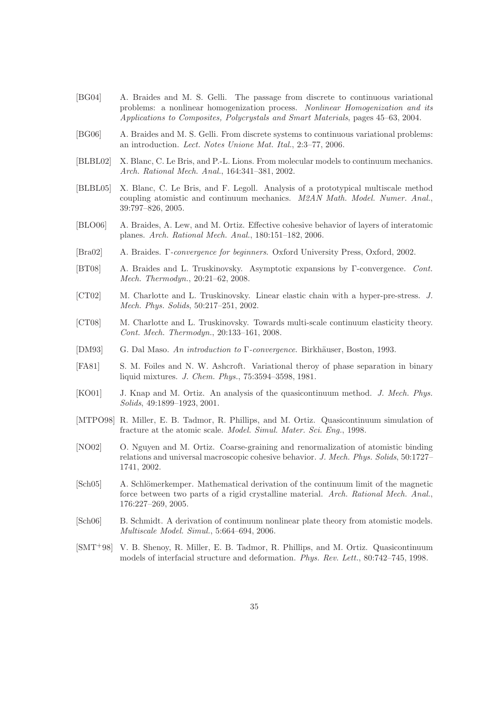- [BG04] A. Braides and M. S. Gelli. The passage from discrete to continuous variational problems: a nonlinear homogenization process. Nonlinear Homogenization and its Applications to Composites, Polycrystals and Smart Materials, pages 45–63, 2004.
- [BG06] A. Braides and M. S. Gelli. From discrete systems to continuous variational problems: an introduction. Lect. Notes Unione Mat. Ital., 2:3–77, 2006.
- [BLBL02] X. Blanc, C. Le Bris, and P.-L. Lions. From molecular models to continuum mechanics. Arch. Rational Mech. Anal., 164:341–381, 2002.
- [BLBL05] X. Blanc, C. Le Bris, and F. Legoll. Analysis of a prototypical multiscale method coupling atomistic and continuum mechanics. M2AN Math. Model. Numer. Anal., 39:797–826, 2005.
- [BLO06] A. Braides, A. Lew, and M. Ortiz. Effective cohesive behavior of layers of interatomic planes. Arch. Rational Mech. Anal., 180:151–182, 2006.
- [Bra02] A. Braides. Γ-convergence for beginners. Oxford University Press, Oxford, 2002.
- [BT08] A. Braides and L. Truskinovsky. Asymptotic expansions by Γ-convergence. Cont. Mech. Thermodyn., 20:21–62, 2008.
- [CT02] M. Charlotte and L. Truskinovsky. Linear elastic chain with a hyper-pre-stress. J. Mech. Phys. Solids, 50:217–251, 2002.
- [CT08] M. Charlotte and L. Truskinovsky. Towards multi-scale continuum elasticity theory. Cont. Mech. Thermodyn., 20:133–161, 2008.
- [DM93] G. Dal Maso. An introduction to Γ-convergence. Birkhäuser, Boston, 1993.
- [FA81] S. M. Foiles and N. W. Ashcroft. Variational theroy of phase separation in binary liquid mixtures. J. Chem. Phys., 75:3594–3598, 1981.
- [KO01] J. Knap and M. Ortiz. An analysis of the quasicontinuum method. J. Mech. Phys. Solids, 49:1899–1923, 2001.
- [MTPO98] R. Miller, E. B. Tadmor, R. Phillips, and M. Ortiz. Quasicontinuum simulation of fracture at the atomic scale. Model. Simul. Mater. Sci. Eng., 1998.
- [NO02] O. Nguyen and M. Ortiz. Coarse-graining and renormalization of atomistic binding relations and universal macroscopic cohesive behavior. J. Mech. Phys. Solids, 50:1727– 1741, 2002.
- [Sch05] A. Schlömerkemper. Mathematical derivation of the continuum limit of the magnetic force between two parts of a rigid crystalline material. Arch. Rational Mech. Anal., 176:227–269, 2005.
- [Sch06] B. Schmidt. A derivation of continuum nonlinear plate theory from atomistic models. Multiscale Model. Simul., 5:664–694, 2006.
- [SMT+98] V. B. Shenoy, R. Miller, E. B. Tadmor, R. Phillips, and M. Ortiz. Quasicontinuum models of interfacial structure and deformation. Phys. Rev. Lett., 80:742–745, 1998.